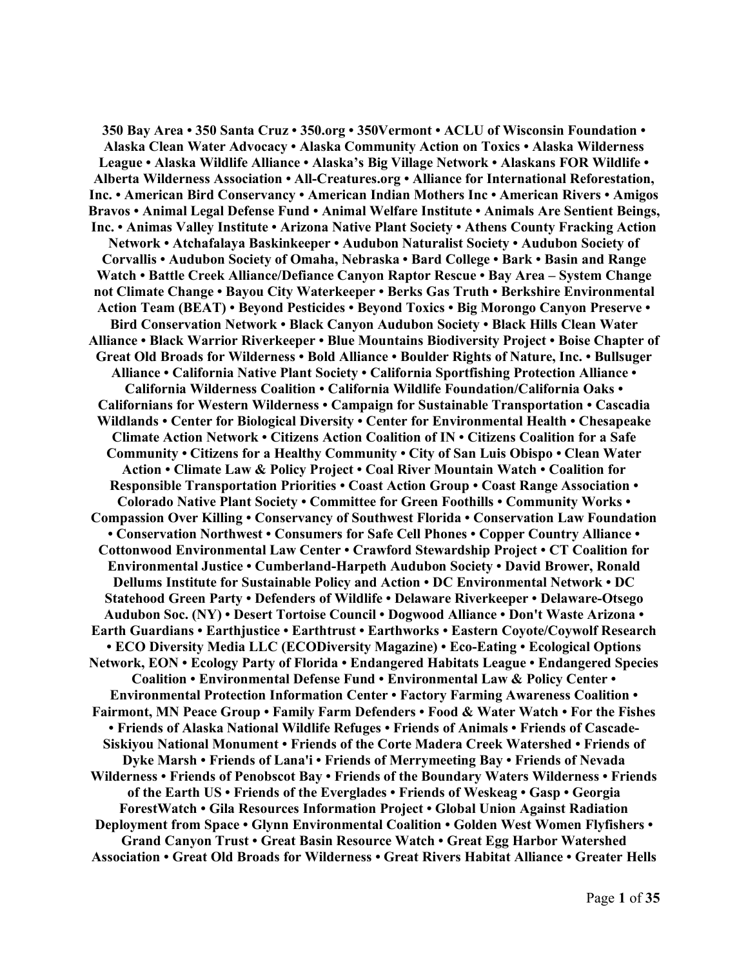**350 Bay Area • 350 Santa Cruz • 350.org • 350Vermont • ACLU of Wisconsin Foundation • Alaska Clean Water Advocacy • Alaska Community Action on Toxics • Alaska Wilderness League • Alaska Wildlife Alliance • Alaska's Big Village Network • Alaskans FOR Wildlife • Alberta Wilderness Association • All-Creatures.org • Alliance for International Reforestation, Inc. • American Bird Conservancy • American Indian Mothers Inc • American Rivers • Amigos Bravos • Animal Legal Defense Fund • Animal Welfare Institute • Animals Are Sentient Beings, Inc. • Animas Valley Institute • Arizona Native Plant Society • Athens County Fracking Action Network • Atchafalaya Baskinkeeper • Audubon Naturalist Society • Audubon Society of Corvallis • Audubon Society of Omaha, Nebraska • Bard College • Bark • Basin and Range Watch • Battle Creek Alliance/Defiance Canyon Raptor Rescue • Bay Area – System Change not Climate Change • Bayou City Waterkeeper • Berks Gas Truth • Berkshire Environmental Action Team (BEAT) • Beyond Pesticides • Beyond Toxics • Big Morongo Canyon Preserve • Bird Conservation Network • Black Canyon Audubon Society • Black Hills Clean Water Alliance • Black Warrior Riverkeeper • Blue Mountains Biodiversity Project • Boise Chapter of Great Old Broads for Wilderness • Bold Alliance • Boulder Rights of Nature, Inc. • Bullsuger Alliance • California Native Plant Society • California Sportfishing Protection Alliance • California Wilderness Coalition • California Wildlife Foundation/California Oaks • Californians for Western Wilderness • Campaign for Sustainable Transportation • Cascadia Wildlands • Center for Biological Diversity • Center for Environmental Health • Chesapeake Climate Action Network • Citizens Action Coalition of IN • Citizens Coalition for a Safe Community • Citizens for a Healthy Community • City of San Luis Obispo • Clean Water Action • Climate Law & Policy Project • Coal River Mountain Watch • Coalition for Responsible Transportation Priorities • Coast Action Group • Coast Range Association • Colorado Native Plant Society • Committee for Green Foothills • Community Works • Compassion Over Killing • Conservancy of Southwest Florida • Conservation Law Foundation • Conservation Northwest • Consumers for Safe Cell Phones • Copper Country Alliance • Cottonwood Environmental Law Center • Crawford Stewardship Project • CT Coalition for Environmental Justice • Cumberland-Harpeth Audubon Society • David Brower, Ronald Dellums Institute for Sustainable Policy and Action • DC Environmental Network • DC Statehood Green Party • Defenders of Wildlife • Delaware Riverkeeper • Delaware-Otsego Audubon Soc. (NY) • Desert Tortoise Council • Dogwood Alliance • Don't Waste Arizona • Earth Guardians • Earthjustice • Earthtrust • Earthworks • Eastern Coyote/Coywolf Research • ECO Diversity Media LLC (ECODiversity Magazine) • Eco-Eating • Ecological Options Network, EON • Ecology Party of Florida • Endangered Habitats League • Endangered Species Coalition • Environmental Defense Fund • Environmental Law & Policy Center • Environmental Protection Information Center • Factory Farming Awareness Coalition • Fairmont, MN Peace Group • Family Farm Defenders • Food & Water Watch • For the Fishes • Friends of Alaska National Wildlife Refuges • Friends of Animals • Friends of Cascade-Siskiyou National Monument • Friends of the Corte Madera Creek Watershed • Friends of Dyke Marsh • Friends of Lana'i • Friends of Merrymeeting Bay • Friends of Nevada Wilderness • Friends of Penobscot Bay • Friends of the Boundary Waters Wilderness • Friends of the Earth US • Friends of the Everglades • Friends of Weskeag • Gasp • Georgia ForestWatch • Gila Resources Information Project • Global Union Against Radiation Deployment from Space • Glynn Environmental Coalition • Golden West Women Flyfishers • Grand Canyon Trust • Great Basin Resource Watch • Great Egg Harbor Watershed Association • Great Old Broads for Wilderness • Great Rivers Habitat Alliance • Greater Hells**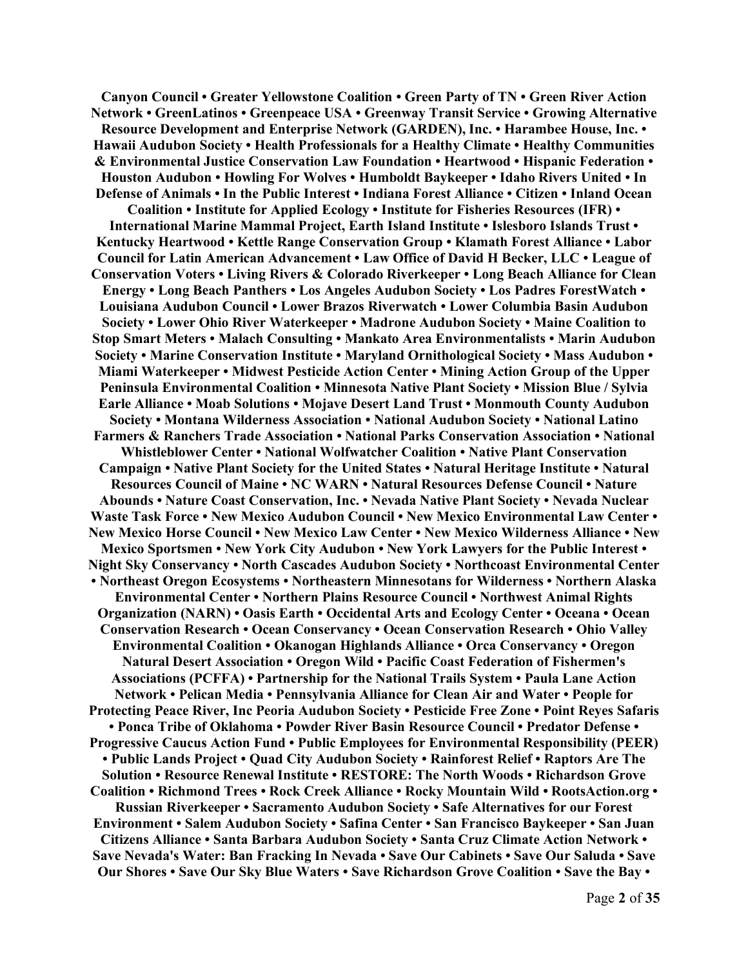**Canyon Council • Greater Yellowstone Coalition • Green Party of TN • Green River Action Network • GreenLatinos • Greenpeace USA • Greenway Transit Service • Growing Alternative Resource Development and Enterprise Network (GARDEN), Inc. • Harambee House, Inc. • Hawaii Audubon Society • Health Professionals for a Healthy Climate • Healthy Communities & Environmental Justice Conservation Law Foundation • Heartwood • Hispanic Federation • Houston Audubon • Howling For Wolves • Humboldt Baykeeper • Idaho Rivers United • In Defense of Animals • In the Public Interest • Indiana Forest Alliance • Citizen • Inland Ocean Coalition • Institute for Applied Ecology • Institute for Fisheries Resources (IFR) • International Marine Mammal Project, Earth Island Institute • Islesboro Islands Trust • Kentucky Heartwood • Kettle Range Conservation Group • Klamath Forest Alliance • Labor Council for Latin American Advancement • Law Office of David H Becker, LLC • League of Conservation Voters • Living Rivers & Colorado Riverkeeper • Long Beach Alliance for Clean Energy • Long Beach Panthers • Los Angeles Audubon Society • Los Padres ForestWatch • Louisiana Audubon Council • Lower Brazos Riverwatch • Lower Columbia Basin Audubon Society • Lower Ohio River Waterkeeper • Madrone Audubon Society • Maine Coalition to Stop Smart Meters • Malach Consulting • Mankato Area Environmentalists • Marin Audubon Society • Marine Conservation Institute • Maryland Ornithological Society • Mass Audubon • Miami Waterkeeper • Midwest Pesticide Action Center • Mining Action Group of the Upper Peninsula Environmental Coalition • Minnesota Native Plant Society • Mission Blue / Sylvia Earle Alliance • Moab Solutions • Mojave Desert Land Trust • Monmouth County Audubon Society • Montana Wilderness Association • National Audubon Society • National Latino Farmers & Ranchers Trade Association • National Parks Conservation Association • National Whistleblower Center • National Wolfwatcher Coalition • Native Plant Conservation Campaign • Native Plant Society for the United States • Natural Heritage Institute • Natural Resources Council of Maine • NC WARN • Natural Resources Defense Council • Nature Abounds • Nature Coast Conservation, Inc. • Nevada Native Plant Society • Nevada Nuclear Waste Task Force • New Mexico Audubon Council • New Mexico Environmental Law Center • New Mexico Horse Council • New Mexico Law Center • New Mexico Wilderness Alliance • New Mexico Sportsmen • New York City Audubon • New York Lawyers for the Public Interest • Night Sky Conservancy • North Cascades Audubon Society • Northcoast Environmental Center • Northeast Oregon Ecosystems • Northeastern Minnesotans for Wilderness • Northern Alaska Environmental Center • Northern Plains Resource Council • Northwest Animal Rights Organization (NARN) • Oasis Earth • Occidental Arts and Ecology Center • Oceana • Ocean Conservation Research • Ocean Conservancy • Ocean Conservation Research • Ohio Valley Environmental Coalition • Okanogan Highlands Alliance • Orca Conservancy • Oregon Natural Desert Association • Oregon Wild • Pacific Coast Federation of Fishermen's Associations (PCFFA) • Partnership for the National Trails System • Paula Lane Action Network • Pelican Media • Pennsylvania Alliance for Clean Air and Water • People for Protecting Peace River, Inc Peoria Audubon Society • Pesticide Free Zone • Point Reyes Safaris • Ponca Tribe of Oklahoma • Powder River Basin Resource Council • Predator Defense • Progressive Caucus Action Fund • Public Employees for Environmental Responsibility (PEER) • Public Lands Project • Quad City Audubon Society • Rainforest Relief • Raptors Are The Solution • Resource Renewal Institute • RESTORE: The North Woods • Richardson Grove Coalition • Richmond Trees • Rock Creek Alliance • Rocky Mountain Wild • RootsAction.org • Russian Riverkeeper • Sacramento Audubon Society • Safe Alternatives for our Forest Environment • Salem Audubon Society • Safina Center • San Francisco Baykeeper • San Juan Citizens Alliance • Santa Barbara Audubon Society • Santa Cruz Climate Action Network • Save Nevada's Water: Ban Fracking In Nevada • Save Our Cabinets • Save Our Saluda • Save Our Shores • Save Our Sky Blue Waters • Save Richardson Grove Coalition • Save the Bay •**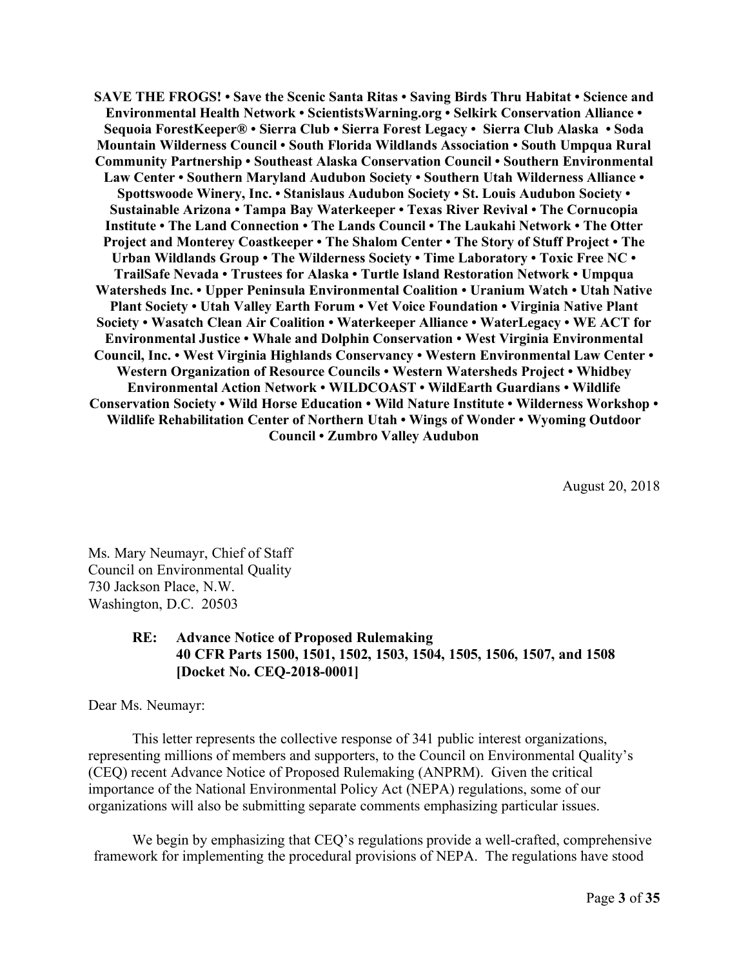**SAVE THE FROGS! • Save the Scenic Santa Ritas • Saving Birds Thru Habitat • Science and Environmental Health Network • ScientistsWarning.org • Selkirk Conservation Alliance • Sequoia ForestKeeper® • Sierra Club • Sierra Forest Legacy • Sierra Club Alaska • Soda Mountain Wilderness Council • South Florida Wildlands Association • South Umpqua Rural Community Partnership • Southeast Alaska Conservation Council • Southern Environmental Law Center • Southern Maryland Audubon Society • Southern Utah Wilderness Alliance • Spottswoode Winery, Inc. • Stanislaus Audubon Society • St. Louis Audubon Society • Sustainable Arizona • Tampa Bay Waterkeeper • Texas River Revival • The Cornucopia Institute • The Land Connection • The Lands Council • The Laukahi Network • The Otter Project and Monterey Coastkeeper • The Shalom Center • The Story of Stuff Project • The Urban Wildlands Group • The Wilderness Society • Time Laboratory • Toxic Free NC • TrailSafe Nevada • Trustees for Alaska • Turtle Island Restoration Network • Umpqua Watersheds Inc. • Upper Peninsula Environmental Coalition • Uranium Watch • Utah Native Plant Society • Utah Valley Earth Forum • Vet Voice Foundation • Virginia Native Plant Society • Wasatch Clean Air Coalition • Waterkeeper Alliance • WaterLegacy • WE ACT for Environmental Justice • Whale and Dolphin Conservation • West Virginia Environmental Council, Inc. • West Virginia Highlands Conservancy • Western Environmental Law Center • Western Organization of Resource Councils • Western Watersheds Project • Whidbey Environmental Action Network • WILDCOAST • WildEarth Guardians • Wildlife Conservation Society • Wild Horse Education • Wild Nature Institute • Wilderness Workshop • Wildlife Rehabilitation Center of Northern Utah • Wings of Wonder • Wyoming Outdoor Council • Zumbro Valley Audubon**

August 20, 2018

Ms. Mary Neumayr, Chief of Staff Council on Environmental Quality 730 Jackson Place, N.W. Washington, D.C. 20503

# **RE: Advance Notice of Proposed Rulemaking 40 CFR Parts 1500, 1501, 1502, 1503, 1504, 1505, 1506, 1507, and 1508 [Docket No. CEQ-2018-0001]**

Dear Ms. Neumayr:

This letter represents the collective response of 341 public interest organizations, representing millions of members and supporters, to the Council on Environmental Quality's (CEQ) recent Advance Notice of Proposed Rulemaking (ANPRM). Given the critical importance of the National Environmental Policy Act (NEPA) regulations, some of our organizations will also be submitting separate comments emphasizing particular issues.

We begin by emphasizing that CEQ's regulations provide a well-crafted, comprehensive framework for implementing the procedural provisions of NEPA. The regulations have stood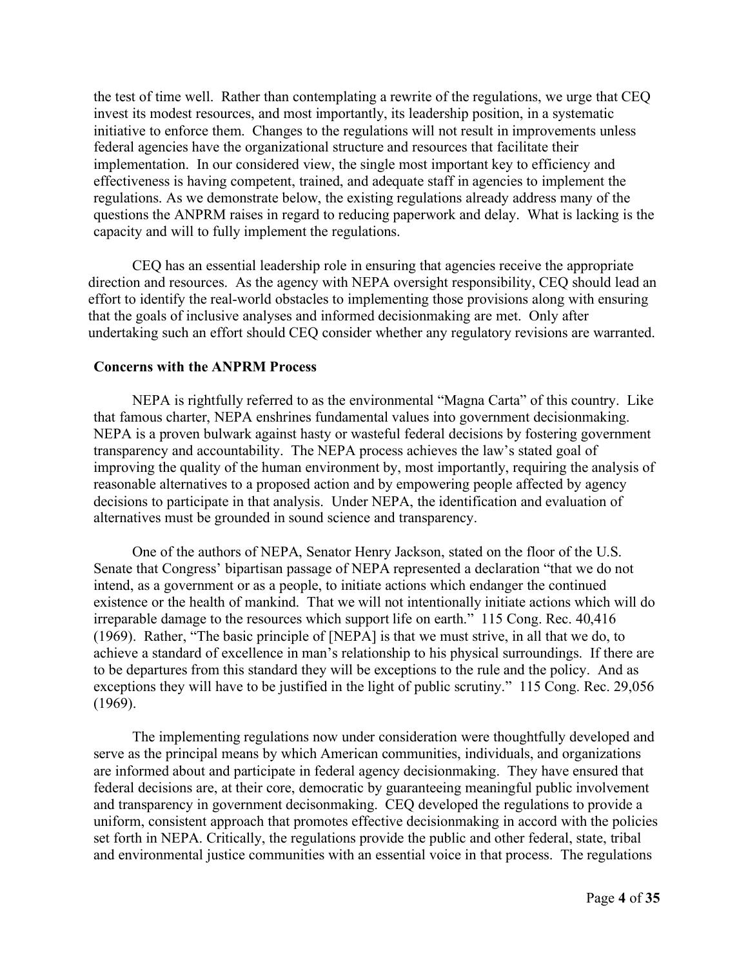the test of time well. Rather than contemplating a rewrite of the regulations, we urge that CEQ invest its modest resources, and most importantly, its leadership position, in a systematic initiative to enforce them. Changes to the regulations will not result in improvements unless federal agencies have the organizational structure and resources that facilitate their implementation. In our considered view, the single most important key to efficiency and effectiveness is having competent, trained, and adequate staff in agencies to implement the regulations. As we demonstrate below, the existing regulations already address many of the questions the ANPRM raises in regard to reducing paperwork and delay. What is lacking is the capacity and will to fully implement the regulations.

CEQ has an essential leadership role in ensuring that agencies receive the appropriate direction and resources. As the agency with NEPA oversight responsibility, CEQ should lead an effort to identify the real-world obstacles to implementing those provisions along with ensuring that the goals of inclusive analyses and informed decisionmaking are met. Only after undertaking such an effort should CEQ consider whether any regulatory revisions are warranted.

#### **Concerns with the ANPRM Process**

NEPA is rightfully referred to as the environmental "Magna Carta" of this country. Like that famous charter, NEPA enshrines fundamental values into government decisionmaking. NEPA is a proven bulwark against hasty or wasteful federal decisions by fostering government transparency and accountability. The NEPA process achieves the law's stated goal of improving the quality of the human environment by, most importantly, requiring the analysis of reasonable alternatives to a proposed action and by empowering people affected by agency decisions to participate in that analysis. Under NEPA, the identification and evaluation of alternatives must be grounded in sound science and transparency.

One of the authors of NEPA, Senator Henry Jackson, stated on the floor of the U.S. Senate that Congress' bipartisan passage of NEPA represented a declaration "that we do not intend, as a government or as a people, to initiate actions which endanger the continued existence or the health of mankind. That we will not intentionally initiate actions which will do irreparable damage to the resources which support life on earth." 115 Cong. Rec. 40,416 (1969). Rather, "The basic principle of [NEPA] is that we must strive, in all that we do, to achieve a standard of excellence in man's relationship to his physical surroundings. If there are to be departures from this standard they will be exceptions to the rule and the policy. And as exceptions they will have to be justified in the light of public scrutiny." 115 Cong. Rec. 29,056 (1969).

The implementing regulations now under consideration were thoughtfully developed and serve as the principal means by which American communities, individuals, and organizations are informed about and participate in federal agency decisionmaking. They have ensured that federal decisions are, at their core, democratic by guaranteeing meaningful public involvement and transparency in government decisonmaking. CEQ developed the regulations to provide a uniform, consistent approach that promotes effective decisionmaking in accord with the policies set forth in NEPA. Critically, the regulations provide the public and other federal, state, tribal and environmental justice communities with an essential voice in that process. The regulations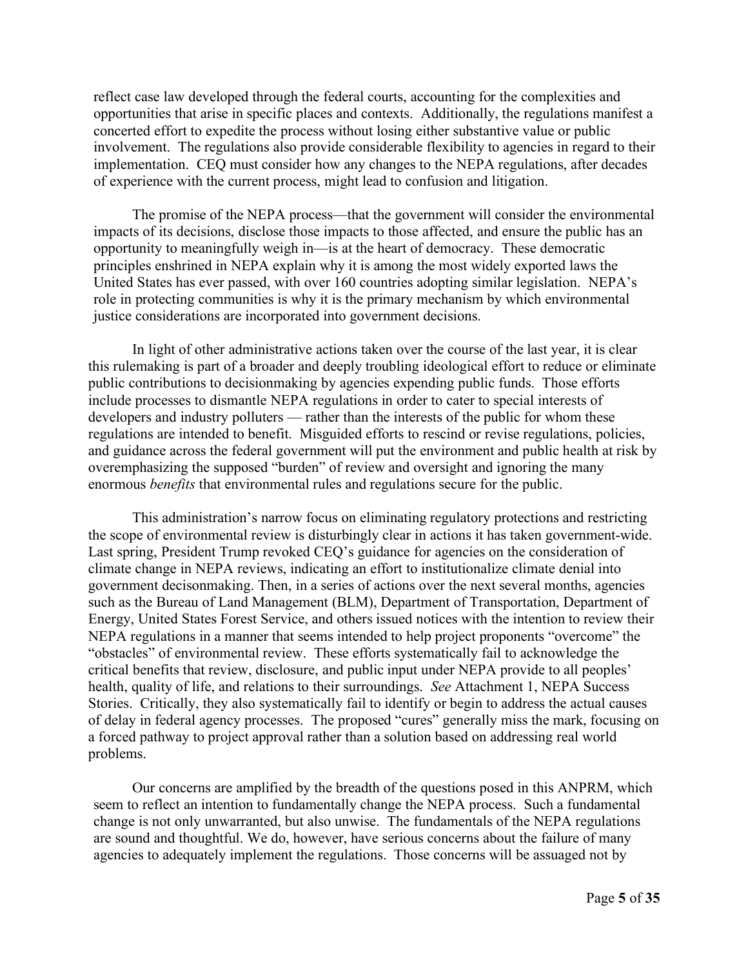reflect case law developed through the federal courts, accounting for the complexities and opportunities that arise in specific places and contexts. Additionally, the regulations manifest a concerted effort to expedite the process without losing either substantive value or public involvement. The regulations also provide considerable flexibility to agencies in regard to their implementation. CEQ must consider how any changes to the NEPA regulations, after decades of experience with the current process, might lead to confusion and litigation.

The promise of the NEPA process—that the government will consider the environmental impacts of its decisions, disclose those impacts to those affected, and ensure the public has an opportunity to meaningfully weigh in—is at the heart of democracy. These democratic principles enshrined in NEPA explain why it is among the most widely exported laws the United States has ever passed, with over 160 countries adopting similar legislation. NEPA's role in protecting communities is why it is the primary mechanism by which environmental justice considerations are incorporated into government decisions.

In light of other administrative actions taken over the course of the last year, it is clear this rulemaking is part of a broader and deeply troubling ideological effort to reduce or eliminate public contributions to decisionmaking by agencies expending public funds. Those efforts include processes to dismantle NEPA regulations in order to cater to special interests of developers and industry polluters — rather than the interests of the public for whom these regulations are intended to benefit. Misguided efforts to rescind or revise regulations, policies, and guidance across the federal government will put the environment and public health at risk by overemphasizing the supposed "burden" of review and oversight and ignoring the many enormous *benefits* that environmental rules and regulations secure for the public.

This administration's narrow focus on eliminating regulatory protections and restricting the scope of environmental review is disturbingly clear in actions it has taken government-wide. Last spring, President Trump revoked CEQ's guidance for agencies on the consideration of climate change in NEPA reviews, indicating an effort to institutionalize climate denial into government decisonmaking. Then, in a series of actions over the next several months, agencies such as the Bureau of Land Management (BLM), Department of Transportation, Department of Energy, United States Forest Service, and others issued notices with the intention to review their NEPA regulations in a manner that seems intended to help project proponents "overcome" the "obstacles" of environmental review. These efforts systematically fail to acknowledge the critical benefits that review, disclosure, and public input under NEPA provide to all peoples' health, quality of life, and relations to their surroundings. *See* Attachment 1, NEPA Success Stories. Critically, they also systematically fail to identify or begin to address the actual causes of delay in federal agency processes. The proposed "cures" generally miss the mark, focusing on a forced pathway to project approval rather than a solution based on addressing real world problems.

Our concerns are amplified by the breadth of the questions posed in this ANPRM, which seem to reflect an intention to fundamentally change the NEPA process. Such a fundamental change is not only unwarranted, but also unwise. The fundamentals of the NEPA regulations are sound and thoughtful. We do, however, have serious concerns about the failure of many agencies to adequately implement the regulations. Those concerns will be assuaged not by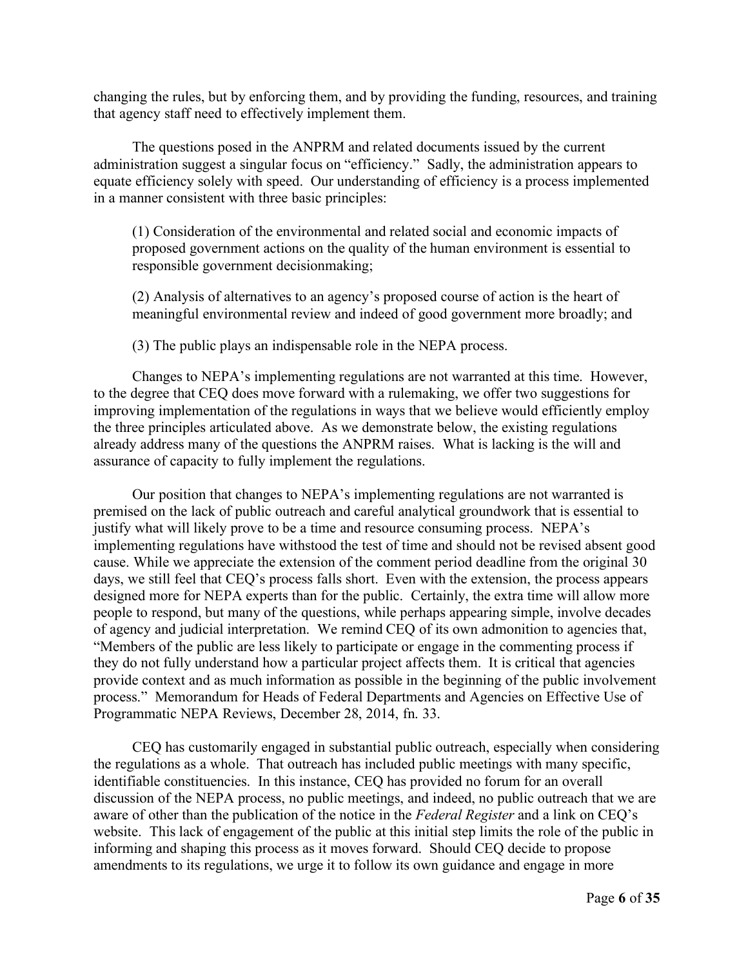changing the rules, but by enforcing them, and by providing the funding, resources, and training that agency staff need to effectively implement them.

The questions posed in the ANPRM and related documents issued by the current administration suggest a singular focus on "efficiency." Sadly, the administration appears to equate efficiency solely with speed. Our understanding of efficiency is a process implemented in a manner consistent with three basic principles:

(1) Consideration of the environmental and related social and economic impacts of proposed government actions on the quality of the human environment is essential to responsible government decisionmaking;

(2) Analysis of alternatives to an agency's proposed course of action is the heart of meaningful environmental review and indeed of good government more broadly; and

(3) The public plays an indispensable role in the NEPA process.

Changes to NEPA's implementing regulations are not warranted at this time. However, to the degree that CEQ does move forward with a rulemaking, we offer two suggestions for improving implementation of the regulations in ways that we believe would efficiently employ the three principles articulated above. As we demonstrate below, the existing regulations already address many of the questions the ANPRM raises. What is lacking is the will and assurance of capacity to fully implement the regulations.

Our position that changes to NEPA's implementing regulations are not warranted is premised on the lack of public outreach and careful analytical groundwork that is essential to justify what will likely prove to be a time and resource consuming process. NEPA's implementing regulations have withstood the test of time and should not be revised absent good cause. While we appreciate the extension of the comment period deadline from the original 30 days, we still feel that CEQ's process falls short. Even with the extension, the process appears designed more for NEPA experts than for the public. Certainly, the extra time will allow more people to respond, but many of the questions, while perhaps appearing simple, involve decades of agency and judicial interpretation. We remind CEQ of its own admonition to agencies that, "Members of the public are less likely to participate or engage in the commenting process if they do not fully understand how a particular project affects them. It is critical that agencies provide context and as much information as possible in the beginning of the public involvement process." Memorandum for Heads of Federal Departments and Agencies on Effective Use of Programmatic NEPA Reviews, December 28, 2014, fn. 33.

CEQ has customarily engaged in substantial public outreach, especially when considering the regulations as a whole. That outreach has included public meetings with many specific, identifiable constituencies. In this instance, CEQ has provided no forum for an overall discussion of the NEPA process, no public meetings, and indeed, no public outreach that we are aware of other than the publication of the notice in the *Federal Register* and a link on CEQ's website. This lack of engagement of the public at this initial step limits the role of the public in informing and shaping this process as it moves forward. Should CEQ decide to propose amendments to its regulations, we urge it to follow its own guidance and engage in more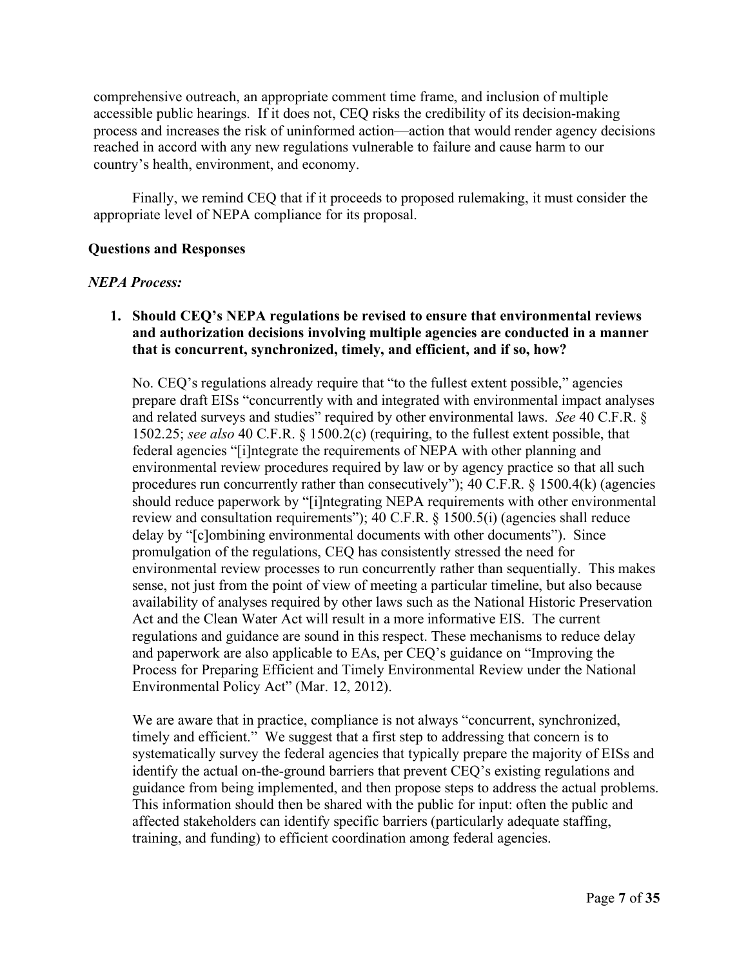comprehensive outreach, an appropriate comment time frame, and inclusion of multiple accessible public hearings. If it does not, CEQ risks the credibility of its decision-making process and increases the risk of uninformed action—action that would render agency decisions reached in accord with any new regulations vulnerable to failure and cause harm to our country's health, environment, and economy.

Finally, we remind CEQ that if it proceeds to proposed rulemaking, it must consider the appropriate level of NEPA compliance for its proposal.

# **Questions and Responses**

# *NEPA Process:*

# **1. Should CEQ's NEPA regulations be revised to ensure that environmental reviews and authorization decisions involving multiple agencies are conducted in a manner that is concurrent, synchronized, timely, and efficient, and if so, how?**

No. CEQ's regulations already require that "to the fullest extent possible," agencies prepare draft EISs "concurrently with and integrated with environmental impact analyses and related surveys and studies" required by other environmental laws. *See* 40 C.F.R. § 1502.25; *see also* 40 C.F.R. § 1500.2(c) (requiring, to the fullest extent possible, that federal agencies "[i]ntegrate the requirements of NEPA with other planning and environmental review procedures required by law or by agency practice so that all such procedures run concurrently rather than consecutively"); 40 C.F.R. § 1500.4(k) (agencies should reduce paperwork by "[i]ntegrating NEPA requirements with other environmental review and consultation requirements"); 40 C.F.R. § 1500.5(i) (agencies shall reduce delay by "[c]ombining environmental documents with other documents"). Since promulgation of the regulations, CEQ has consistently stressed the need for environmental review processes to run concurrently rather than sequentially. This makes sense, not just from the point of view of meeting a particular timeline, but also because availability of analyses required by other laws such as the National Historic Preservation Act and the Clean Water Act will result in a more informative EIS. The current regulations and guidance are sound in this respect. These mechanisms to reduce delay and paperwork are also applicable to EAs, per CEQ's guidance on "Improving the Process for Preparing Efficient and Timely Environmental Review under the National Environmental Policy Act" (Mar. 12, 2012).

We are aware that in practice, compliance is not always "concurrent, synchronized, timely and efficient." We suggest that a first step to addressing that concern is to systematically survey the federal agencies that typically prepare the majority of EISs and identify the actual on-the-ground barriers that prevent CEQ's existing regulations and guidance from being implemented, and then propose steps to address the actual problems. This information should then be shared with the public for input: often the public and affected stakeholders can identify specific barriers (particularly adequate staffing, training, and funding) to efficient coordination among federal agencies.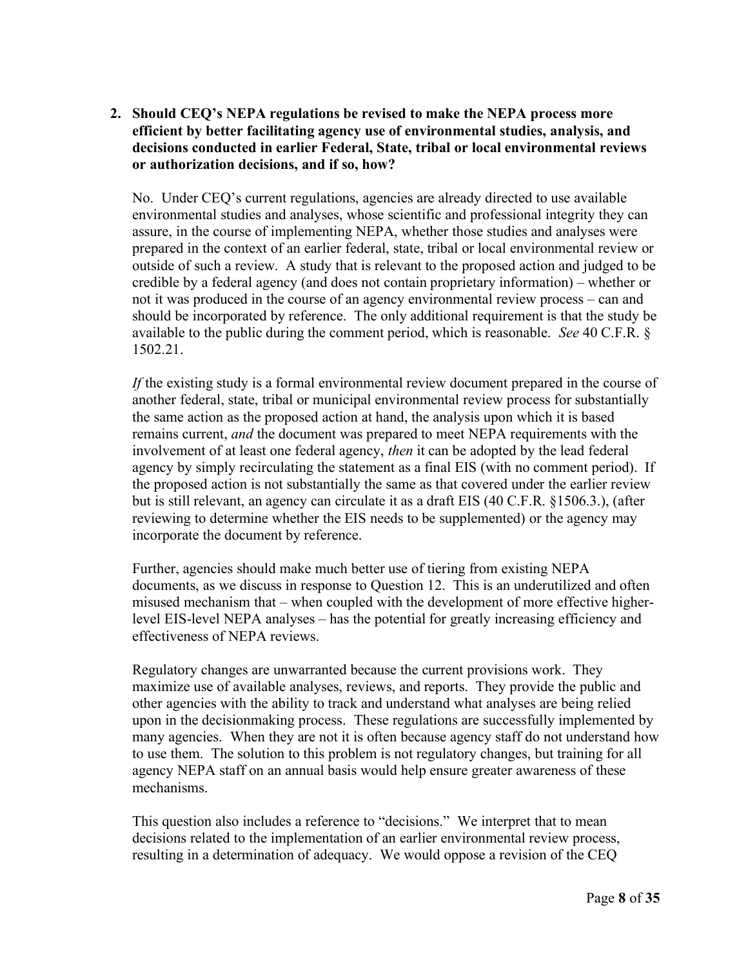# **2. Should CEQ's NEPA regulations be revised to make the NEPA process more efficient by better facilitating agency use of environmental studies, analysis, and decisions conducted in earlier Federal, State, tribal or local environmental reviews or authorization decisions, and if so, how?**

No. Under CEQ's current regulations, agencies are already directed to use available environmental studies and analyses, whose scientific and professional integrity they can assure, in the course of implementing NEPA, whether those studies and analyses were prepared in the context of an earlier federal, state, tribal or local environmental review or outside of such a review. A study that is relevant to the proposed action and judged to be credible by a federal agency (and does not contain proprietary information) – whether or not it was produced in the course of an agency environmental review process – can and should be incorporated by reference. The only additional requirement is that the study be available to the public during the comment period, which is reasonable. *See* 40 C.F.R. § 1502.21.

*If* the existing study is a formal environmental review document prepared in the course of another federal, state, tribal or municipal environmental review process for substantially the same action as the proposed action at hand, the analysis upon which it is based remains current, *and* the document was prepared to meet NEPA requirements with the involvement of at least one federal agency, *then* it can be adopted by the lead federal agency by simply recirculating the statement as a final EIS (with no comment period). If the proposed action is not substantially the same as that covered under the earlier review but is still relevant, an agency can circulate it as a draft EIS (40 C.F.R. §1506.3.), (after reviewing to determine whether the EIS needs to be supplemented) or the agency may incorporate the document by reference.

Further, agencies should make much better use of tiering from existing NEPA documents, as we discuss in response to Question 12. This is an underutilized and often misused mechanism that – when coupled with the development of more effective higherlevel EIS-level NEPA analyses – has the potential for greatly increasing efficiency and effectiveness of NEPA reviews.

Regulatory changes are unwarranted because the current provisions work. They maximize use of available analyses, reviews, and reports. They provide the public and other agencies with the ability to track and understand what analyses are being relied upon in the decisionmaking process. These regulations are successfully implemented by many agencies. When they are not it is often because agency staff do not understand how to use them. The solution to this problem is not regulatory changes, but training for all agency NEPA staff on an annual basis would help ensure greater awareness of these mechanisms.

This question also includes a reference to "decisions." We interpret that to mean decisions related to the implementation of an earlier environmental review process, resulting in a determination of adequacy. We would oppose a revision of the CEQ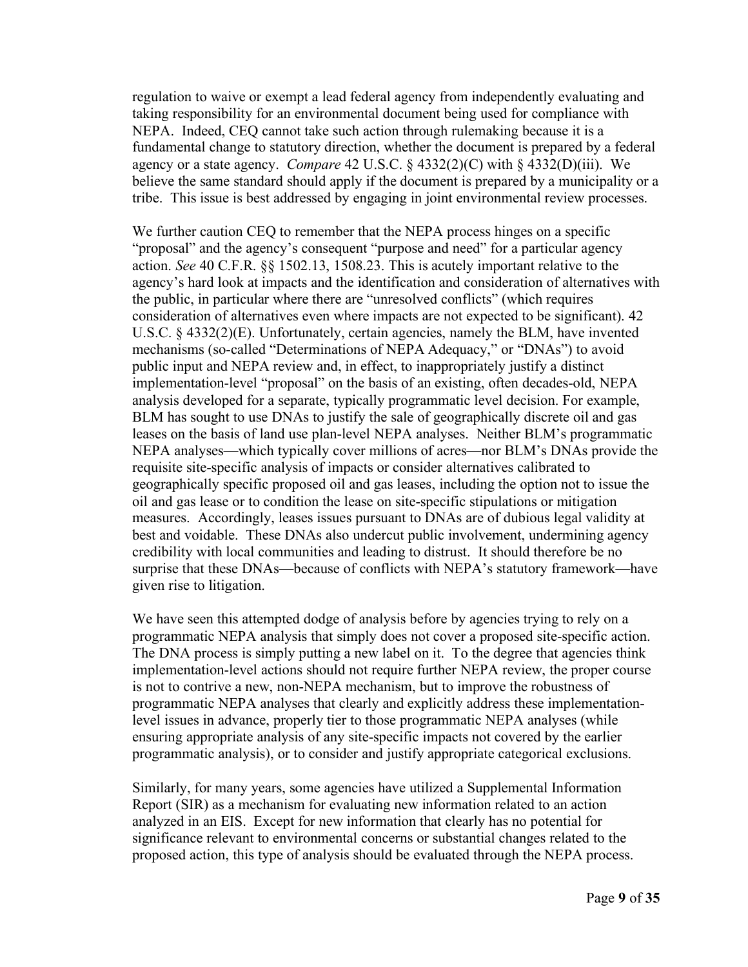regulation to waive or exempt a lead federal agency from independently evaluating and taking responsibility for an environmental document being used for compliance with NEPA. Indeed, CEQ cannot take such action through rulemaking because it is a fundamental change to statutory direction, whether the document is prepared by a federal agency or a state agency. *Compare* 42 U.S.C. § 4332(2)(C) with § 4332(D)(iii). We believe the same standard should apply if the document is prepared by a municipality or a tribe. This issue is best addressed by engaging in joint environmental review processes.

We further caution CEQ to remember that the NEPA process hinges on a specific "proposal" and the agency's consequent "purpose and need" for a particular agency action. *See* 40 C.F.R. §§ 1502.13, 1508.23. This is acutely important relative to the agency's hard look at impacts and the identification and consideration of alternatives with the public, in particular where there are "unresolved conflicts" (which requires consideration of alternatives even where impacts are not expected to be significant). 42 U.S.C. § 4332(2)(E). Unfortunately, certain agencies, namely the BLM, have invented mechanisms (so-called "Determinations of NEPA Adequacy," or "DNAs") to avoid public input and NEPA review and, in effect, to inappropriately justify a distinct implementation-level "proposal" on the basis of an existing, often decades-old, NEPA analysis developed for a separate, typically programmatic level decision. For example, BLM has sought to use DNAs to justify the sale of geographically discrete oil and gas leases on the basis of land use plan-level NEPA analyses. Neither BLM's programmatic NEPA analyses—which typically cover millions of acres—nor BLM's DNAs provide the requisite site-specific analysis of impacts or consider alternatives calibrated to geographically specific proposed oil and gas leases, including the option not to issue the oil and gas lease or to condition the lease on site-specific stipulations or mitigation measures. Accordingly, leases issues pursuant to DNAs are of dubious legal validity at best and voidable. These DNAs also undercut public involvement, undermining agency credibility with local communities and leading to distrust. It should therefore be no surprise that these DNAs—because of conflicts with NEPA's statutory framework—have given rise to litigation.

We have seen this attempted dodge of analysis before by agencies trying to rely on a programmatic NEPA analysis that simply does not cover a proposed site-specific action. The DNA process is simply putting a new label on it. To the degree that agencies think implementation-level actions should not require further NEPA review, the proper course is not to contrive a new, non-NEPA mechanism, but to improve the robustness of programmatic NEPA analyses that clearly and explicitly address these implementationlevel issues in advance, properly tier to those programmatic NEPA analyses (while ensuring appropriate analysis of any site-specific impacts not covered by the earlier programmatic analysis), or to consider and justify appropriate categorical exclusions.

Similarly, for many years, some agencies have utilized a Supplemental Information Report (SIR) as a mechanism for evaluating new information related to an action analyzed in an EIS. Except for new information that clearly has no potential for significance relevant to environmental concerns or substantial changes related to the proposed action, this type of analysis should be evaluated through the NEPA process.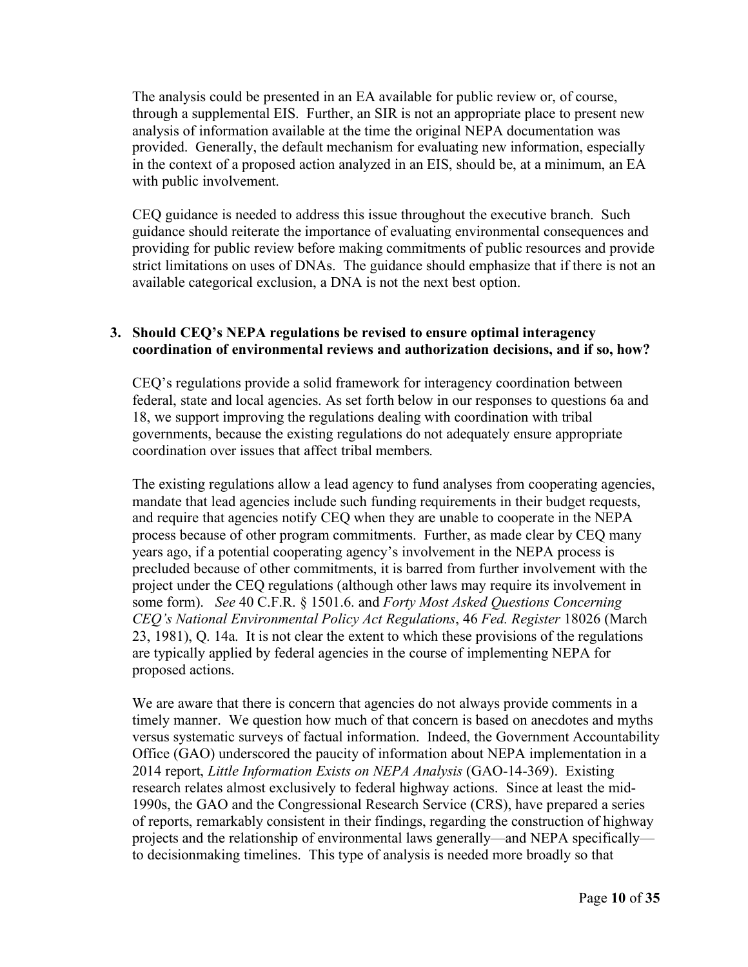The analysis could be presented in an EA available for public review or, of course, through a supplemental EIS. Further, an SIR is not an appropriate place to present new analysis of information available at the time the original NEPA documentation was provided. Generally, the default mechanism for evaluating new information, especially in the context of a proposed action analyzed in an EIS, should be, at a minimum, an EA with public involvement.

CEQ guidance is needed to address this issue throughout the executive branch. Such guidance should reiterate the importance of evaluating environmental consequences and providing for public review before making commitments of public resources and provide strict limitations on uses of DNAs. The guidance should emphasize that if there is not an available categorical exclusion, a DNA is not the next best option.

### **3. Should CEQ's NEPA regulations be revised to ensure optimal interagency coordination of environmental reviews and authorization decisions, and if so, how?**

CEQ's regulations provide a solid framework for interagency coordination between federal, state and local agencies. As set forth below in our responses to questions 6a and 18, we support improving the regulations dealing with coordination with tribal governments, because the existing regulations do not adequately ensure appropriate coordination over issues that affect tribal members.

The existing regulations allow a lead agency to fund analyses from cooperating agencies, mandate that lead agencies include such funding requirements in their budget requests, and require that agencies notify CEQ when they are unable to cooperate in the NEPA process because of other program commitments. Further, as made clear by CEQ many years ago, if a potential cooperating agency's involvement in the NEPA process is precluded because of other commitments, it is barred from further involvement with the project under the CEQ regulations (although other laws may require its involvement in some form). *See* 40 C.F.R. § 1501.6. and *Forty Most Asked Questions Concerning CEQ's National Environmental Policy Act Regulations*, 46 *Fed. Register* 18026 (March 23, 1981), Q. 14a. It is not clear the extent to which these provisions of the regulations are typically applied by federal agencies in the course of implementing NEPA for proposed actions.

We are aware that there is concern that agencies do not always provide comments in a timely manner. We question how much of that concern is based on anecdotes and myths versus systematic surveys of factual information. Indeed, the Government Accountability Office (GAO) underscored the paucity of information about NEPA implementation in a 2014 report, *Little Information Exists on NEPA Analysis* (GAO-14-369). Existing research relates almost exclusively to federal highway actions. Since at least the mid-1990s, the GAO and the Congressional Research Service (CRS), have prepared a series of reports, remarkably consistent in their findings, regarding the construction of highway projects and the relationship of environmental laws generally—and NEPA specifically to decisionmaking timelines. This type of analysis is needed more broadly so that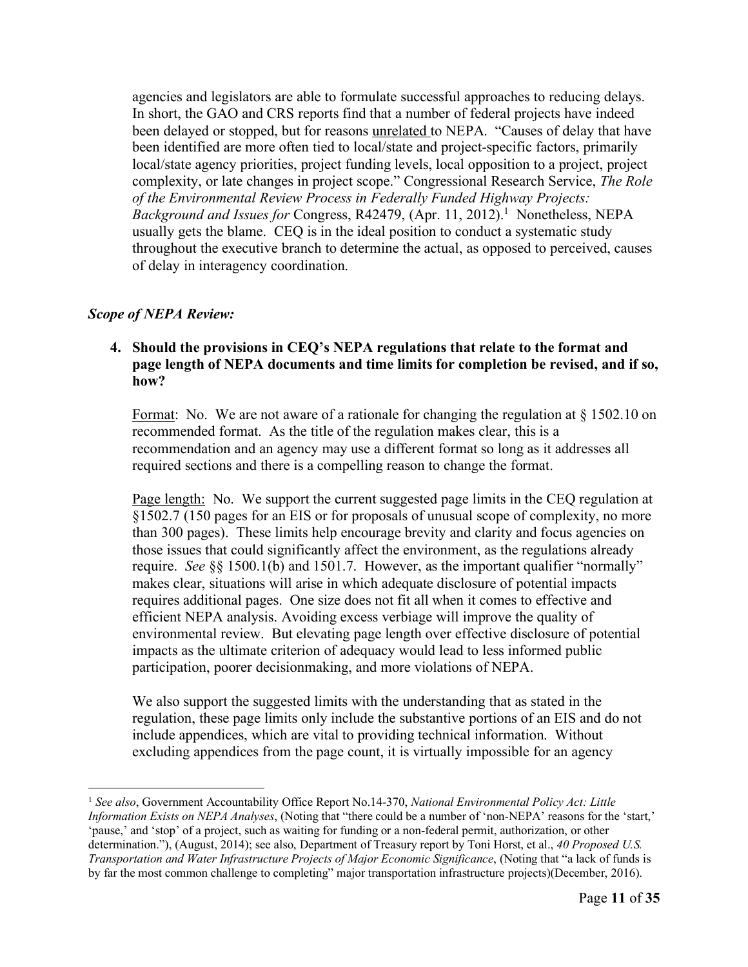agencies and legislators are able to formulate successful approaches to reducing delays. In short, the GAO and CRS reports find that a number of federal projects have indeed been delayed or stopped, but for reasons unrelated to NEPA. "Causes of delay that have been identified are more often tied to local/state and project-specific factors, primarily local/state agency priorities, project funding levels, local opposition to a project, project complexity, or late changes in project scope." Congressional Research Service, *The Role of the Environmental Review Process in Federally Funded Highway Projects: Background and Issues for* Congress, R42479, (Apr. 11, 2012). 1 Nonetheless, NEPA usually gets the blame. CEQ is in the ideal position to conduct a systematic study throughout the executive branch to determine the actual, as opposed to perceived, causes of delay in interagency coordination.

# *Scope of NEPA Review:*

# **4. Should the provisions in CEQ's NEPA regulations that relate to the format and page length of NEPA documents and time limits for completion be revised, and if so, how?**

Format: No. We are not aware of a rationale for changing the regulation at § 1502.10 on recommended format. As the title of the regulation makes clear, this is a recommendation and an agency may use a different format so long as it addresses all required sections and there is a compelling reason to change the format.

Page length: No. We support the current suggested page limits in the CEQ regulation at §1502.7 (150 pages for an EIS or for proposals of unusual scope of complexity, no more than 300 pages). These limits help encourage brevity and clarity and focus agencies on those issues that could significantly affect the environment, as the regulations already require. *See* §§ 1500.1(b) and 1501.7. However, as the important qualifier "normally" makes clear, situations will arise in which adequate disclosure of potential impacts requires additional pages. One size does not fit all when it comes to effective and efficient NEPA analysis. Avoiding excess verbiage will improve the quality of environmental review. But elevating page length over effective disclosure of potential impacts as the ultimate criterion of adequacy would lead to less informed public participation, poorer decisionmaking, and more violations of NEPA.

We also support the suggested limits with the understanding that as stated in the regulation, these page limits only include the substantive portions of an EIS and do not include appendices, which are vital to providing technical information. Without excluding appendices from the page count, it is virtually impossible for an agency

<sup>1</sup> *See also*, Government Accountability Office Report No.14-370, *National Environmental Policy Act: Little Information Exists on NEPA Analyses*, (Noting that "there could be a number of 'non-NEPA' reasons for the 'start,' 'pause,' and 'stop' of a project, such as waiting for funding or a non-federal permit, authorization, or other determination."), (August, 2014); see also, Department of Treasury report by Toni Horst, et al., *40 Proposed U.S. Transportation and Water Infrastructure Projects of Major Economic Significance*, (Noting that "a lack of funds is by far the most common challenge to completing" major transportation infrastructure projects)(December, 2016).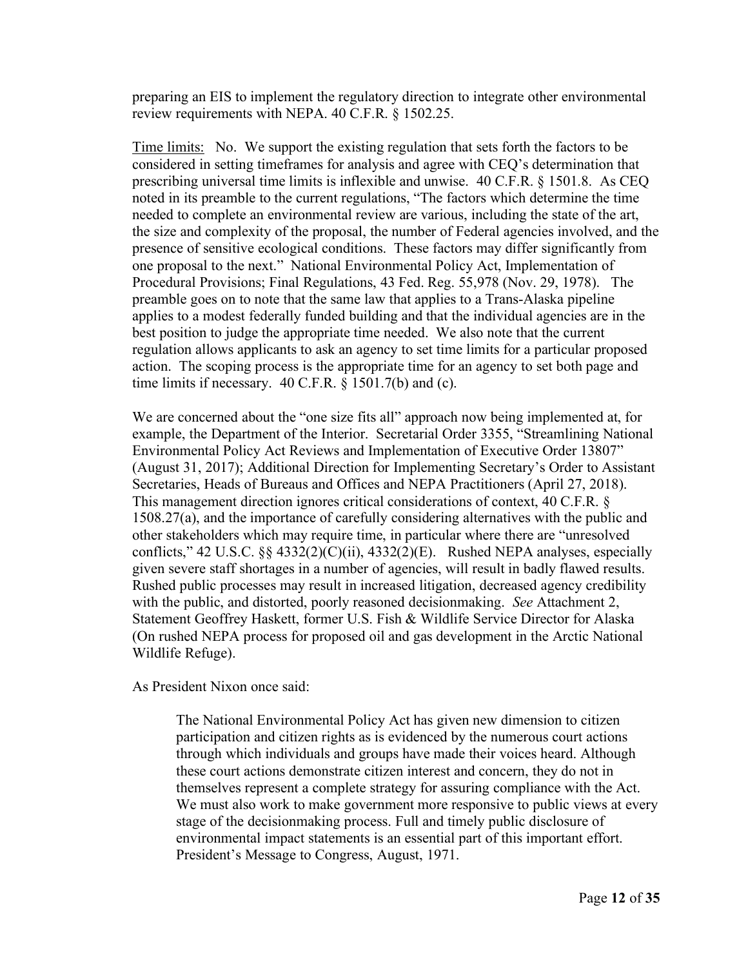preparing an EIS to implement the regulatory direction to integrate other environmental review requirements with NEPA. 40 C.F.R. § 1502.25.

Time limits: No. We support the existing regulation that sets forth the factors to be considered in setting timeframes for analysis and agree with CEQ's determination that prescribing universal time limits is inflexible and unwise. 40 C.F.R. § 1501.8. As CEQ noted in its preamble to the current regulations, "The factors which determine the time needed to complete an environmental review are various, including the state of the art, the size and complexity of the proposal, the number of Federal agencies involved, and the presence of sensitive ecological conditions. These factors may differ significantly from one proposal to the next." National Environmental Policy Act, Implementation of Procedural Provisions; Final Regulations, 43 Fed. Reg. 55,978 (Nov. 29, 1978). The preamble goes on to note that the same law that applies to a Trans-Alaska pipeline applies to a modest federally funded building and that the individual agencies are in the best position to judge the appropriate time needed. We also note that the current regulation allows applicants to ask an agency to set time limits for a particular proposed action. The scoping process is the appropriate time for an agency to set both page and time limits if necessary.  $40 \text{ C.F.R. }$  § 1501.7(b) and (c).

We are concerned about the "one size fits all" approach now being implemented at, for example, the Department of the Interior. Secretarial Order 3355, "Streamlining National Environmental Policy Act Reviews and Implementation of Executive Order 13807" (August 31, 2017); Additional Direction for Implementing Secretary's Order to Assistant Secretaries, Heads of Bureaus and Offices and NEPA Practitioners (April 27, 2018). This management direction ignores critical considerations of context, 40 C.F.R. § 1508.27(a), and the importance of carefully considering alternatives with the public and other stakeholders which may require time, in particular where there are "unresolved conflicts," 42 U.S.C.  $\S$  4332(2)(C)(ii), 4332(2)(E). Rushed NEPA analyses, especially given severe staff shortages in a number of agencies, will result in badly flawed results. Rushed public processes may result in increased litigation, decreased agency credibility with the public, and distorted, poorly reasoned decisionmaking. *See* Attachment 2, Statement Geoffrey Haskett, former U.S. Fish & Wildlife Service Director for Alaska (On rushed NEPA process for proposed oil and gas development in the Arctic National Wildlife Refuge).

As President Nixon once said:

The National Environmental Policy Act has given new dimension to citizen participation and citizen rights as is evidenced by the numerous court actions through which individuals and groups have made their voices heard. Although these court actions demonstrate citizen interest and concern, they do not in themselves represent a complete strategy for assuring compliance with the Act. We must also work to make government more responsive to public views at every stage of the decisionmaking process. Full and timely public disclosure of environmental impact statements is an essential part of this important effort. President's Message to Congress, August, 1971.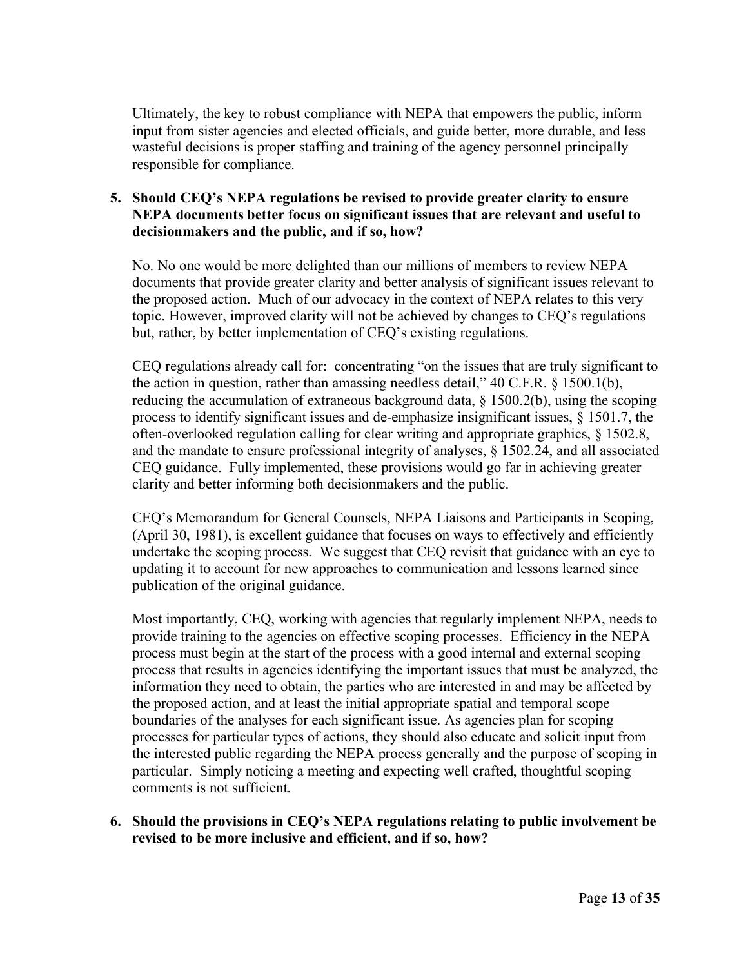Ultimately, the key to robust compliance with NEPA that empowers the public, inform input from sister agencies and elected officials, and guide better, more durable, and less wasteful decisions is proper staffing and training of the agency personnel principally responsible for compliance.

# **5. Should CEQ's NEPA regulations be revised to provide greater clarity to ensure NEPA documents better focus on significant issues that are relevant and useful to decisionmakers and the public, and if so, how?**

No. No one would be more delighted than our millions of members to review NEPA documents that provide greater clarity and better analysis of significant issues relevant to the proposed action. Much of our advocacy in the context of NEPA relates to this very topic. However, improved clarity will not be achieved by changes to CEQ's regulations but, rather, by better implementation of CEQ's existing regulations.

CEQ regulations already call for: concentrating "on the issues that are truly significant to the action in question, rather than amassing needless detail," 40 C.F.R. § 1500.1(b), reducing the accumulation of extraneous background data, § 1500.2(b), using the scoping process to identify significant issues and de-emphasize insignificant issues, § 1501.7, the often-overlooked regulation calling for clear writing and appropriate graphics, § 1502.8, and the mandate to ensure professional integrity of analyses, § 1502.24, and all associated CEQ guidance. Fully implemented, these provisions would go far in achieving greater clarity and better informing both decisionmakers and the public.

CEQ's Memorandum for General Counsels, NEPA Liaisons and Participants in Scoping, (April 30, 1981), is excellent guidance that focuses on ways to effectively and efficiently undertake the scoping process. We suggest that CEQ revisit that guidance with an eye to updating it to account for new approaches to communication and lessons learned since publication of the original guidance.

Most importantly, CEQ, working with agencies that regularly implement NEPA, needs to provide training to the agencies on effective scoping processes. Efficiency in the NEPA process must begin at the start of the process with a good internal and external scoping process that results in agencies identifying the important issues that must be analyzed, the information they need to obtain, the parties who are interested in and may be affected by the proposed action, and at least the initial appropriate spatial and temporal scope boundaries of the analyses for each significant issue. As agencies plan for scoping processes for particular types of actions, they should also educate and solicit input from the interested public regarding the NEPA process generally and the purpose of scoping in particular. Simply noticing a meeting and expecting well crafted, thoughtful scoping comments is not sufficient.

# **6. Should the provisions in CEQ's NEPA regulations relating to public involvement be revised to be more inclusive and efficient, and if so, how?**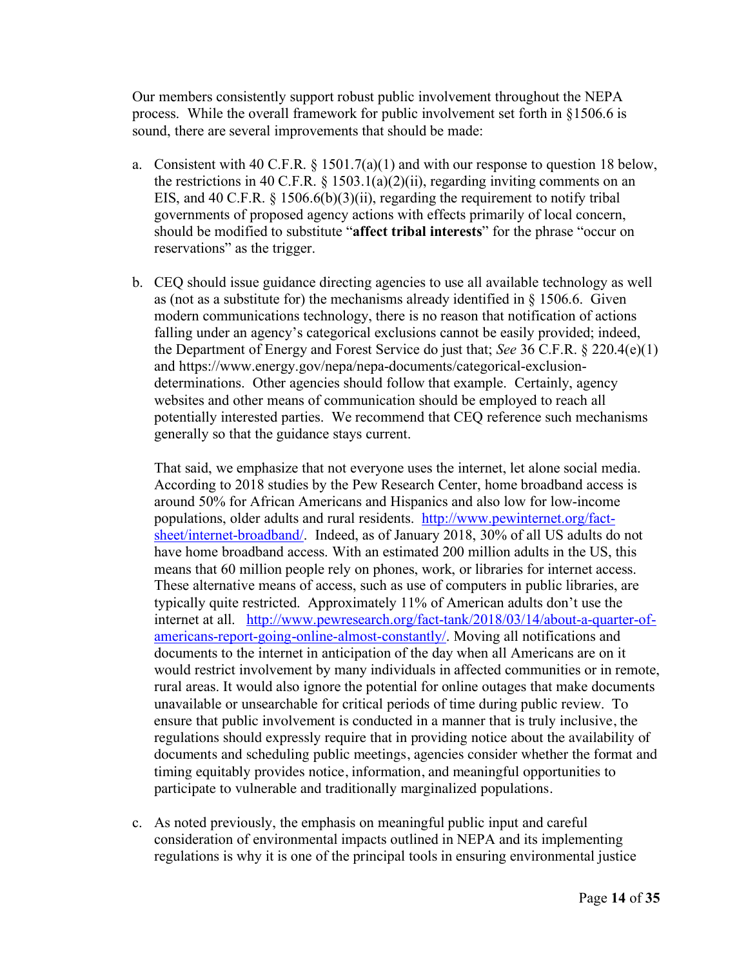Our members consistently support robust public involvement throughout the NEPA process. While the overall framework for public involvement set forth in §1506.6 is sound, there are several improvements that should be made:

- a. Consistent with 40 C.F.R.  $\S 1501.7(a)(1)$  and with our response to question 18 below, the restrictions in 40 C.F.R. § 1503.1(a)(2)(ii), regarding inviting comments on an EIS, and 40 C.F.R. § 1506.6(b)(3)(ii), regarding the requirement to notify tribal governments of proposed agency actions with effects primarily of local concern, should be modified to substitute "**affect tribal interests**" for the phrase "occur on reservations" as the trigger.
- b. CEQ should issue guidance directing agencies to use all available technology as well as (not as a substitute for) the mechanisms already identified in § 1506.6. Given modern communications technology, there is no reason that notification of actions falling under an agency's categorical exclusions cannot be easily provided; indeed, the Department of Energy and Forest Service do just that; *See* 36 C.F.R. § 220.4(e)(1) and https://www.energy.gov/nepa/nepa-documents/categorical-exclusiondeterminations. Other agencies should follow that example. Certainly, agency websites and other means of communication should be employed to reach all potentially interested parties. We recommend that CEQ reference such mechanisms generally so that the guidance stays current.

That said, we emphasize that not everyone uses the internet, let alone social media. According to 2018 studies by the Pew Research Center, home broadband access is around 50% for African Americans and Hispanics and also low for low-income populations, older adults and rural residents. http://www.pewinternet.org/factsheet/internet-broadband/. Indeed, as of January 2018, 30% of all US adults do not have home broadband access. With an estimated 200 million adults in the US, this means that 60 million people rely on phones, work, or libraries for internet access. These alternative means of access, such as use of computers in public libraries, are typically quite restricted. Approximately 11% of American adults don't use the internet at all. http://www.pewresearch.org/fact-tank/2018/03/14/about-a-quarter-ofamericans-report-going-online-almost-constantly/. Moving all notifications and documents to the internet in anticipation of the day when all Americans are on it would restrict involvement by many individuals in affected communities or in remote, rural areas. It would also ignore the potential for online outages that make documents unavailable or unsearchable for critical periods of time during public review. To ensure that public involvement is conducted in a manner that is truly inclusive, the regulations should expressly require that in providing notice about the availability of documents and scheduling public meetings, agencies consider whether the format and timing equitably provides notice, information, and meaningful opportunities to participate to vulnerable and traditionally marginalized populations.

c. As noted previously, the emphasis on meaningful public input and careful consideration of environmental impacts outlined in NEPA and its implementing regulations is why it is one of the principal tools in ensuring environmental justice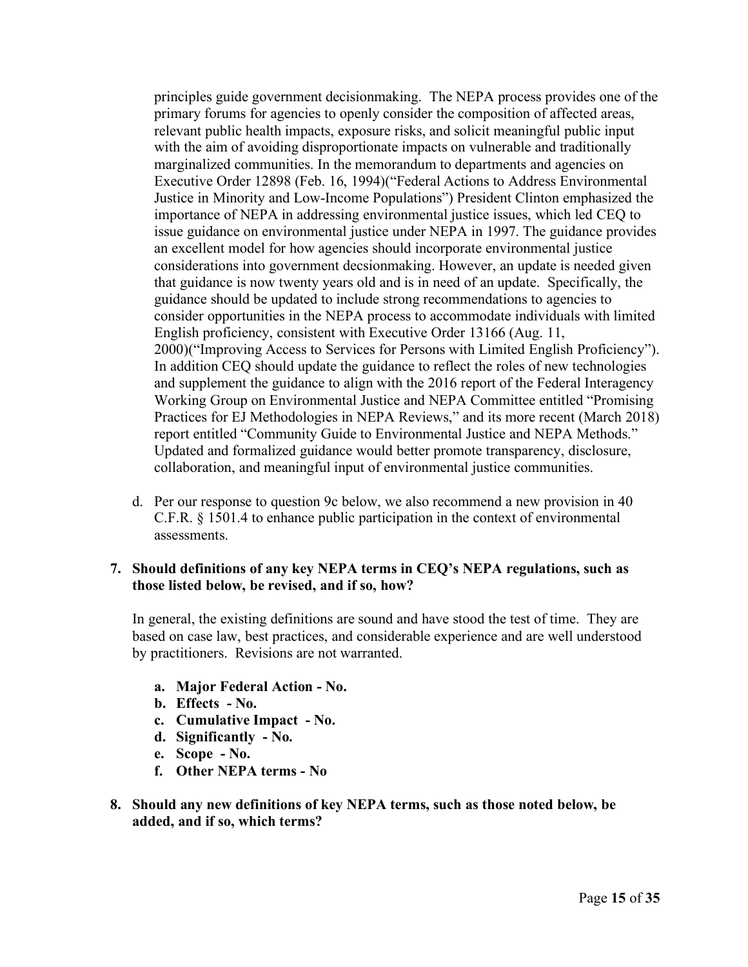principles guide government decisionmaking. The NEPA process provides one of the primary forums for agencies to openly consider the composition of affected areas, relevant public health impacts, exposure risks, and solicit meaningful public input with the aim of avoiding disproportionate impacts on vulnerable and traditionally marginalized communities. In the memorandum to departments and agencies on Executive Order 12898 (Feb. 16, 1994)("Federal Actions to Address Environmental Justice in Minority and Low-Income Populations") President Clinton emphasized the importance of NEPA in addressing environmental justice issues, which led CEQ to issue guidance on environmental justice under NEPA in 1997. The guidance provides an excellent model for how agencies should incorporate environmental justice considerations into government decsionmaking. However, an update is needed given that guidance is now twenty years old and is in need of an update. Specifically, the guidance should be updated to include strong recommendations to agencies to consider opportunities in the NEPA process to accommodate individuals with limited English proficiency, consistent with Executive Order 13166 (Aug. 11, 2000)("Improving Access to Services for Persons with Limited English Proficiency"). In addition CEQ should update the guidance to reflect the roles of new technologies and supplement the guidance to align with the 2016 report of the Federal Interagency Working Group on Environmental Justice and NEPA Committee entitled "Promising Practices for EJ Methodologies in NEPA Reviews," and its more recent (March 2018) report entitled "Community Guide to Environmental Justice and NEPA Methods." Updated and formalized guidance would better promote transparency, disclosure, collaboration, and meaningful input of environmental justice communities.

d. Per our response to question 9c below, we also recommend a new provision in 40 C.F.R. § 1501.4 to enhance public participation in the context of environmental assessments.

# **7. Should definitions of any key NEPA terms in CEQ's NEPA regulations, such as those listed below, be revised, and if so, how?**

In general, the existing definitions are sound and have stood the test of time. They are based on case law, best practices, and considerable experience and are well understood by practitioners. Revisions are not warranted.

- **a. Major Federal Action - No.**
- **b. Effects - No.**
- **c. Cumulative Impact - No.**
- **d. Significantly - No.**
- **e. Scope - No.**
- **f. Other NEPA terms - No**
- **8. Should any new definitions of key NEPA terms, such as those noted below, be added, and if so, which terms?**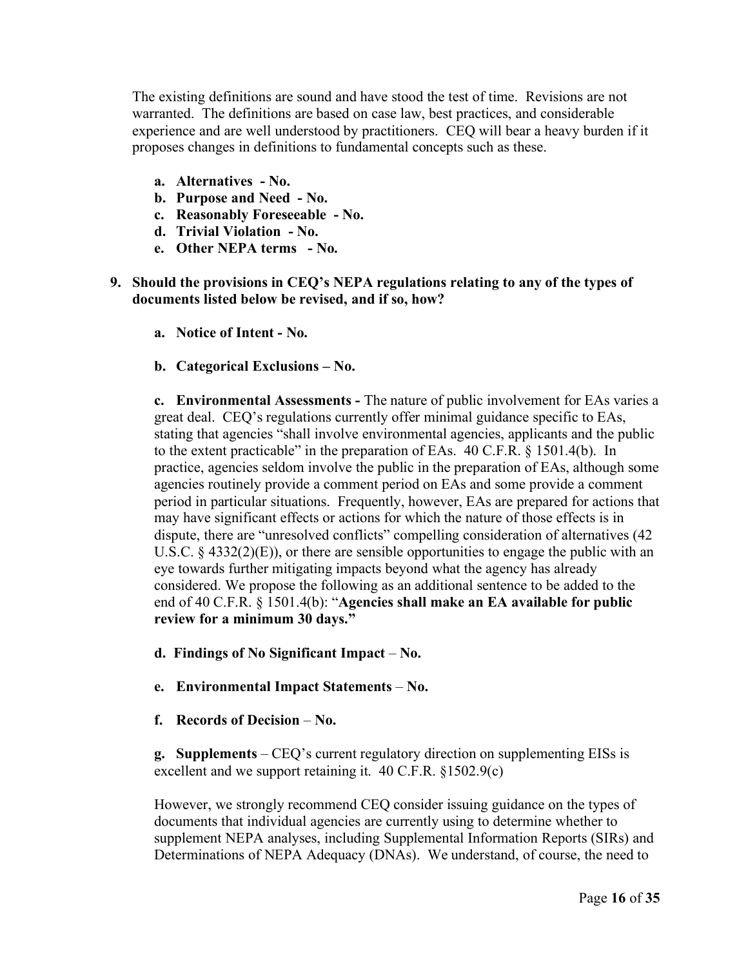The existing definitions are sound and have stood the test of time. Revisions are not warranted. The definitions are based on case law, best practices, and considerable experience and are well understood by practitioners. CEQ will bear a heavy burden if it proposes changes in definitions to fundamental concepts such as these.

- **a. Alternatives - No.**
- **b. Purpose and Need - No.**
- **c. Reasonably Foreseeable - No.**
- **d. Trivial Violation - No.**
- **e. Other NEPA terms - No.**
- **9. Should the provisions in CEQ's NEPA regulations relating to any of the types of documents listed below be revised, and if so, how?**
	- **a. Notice of Intent - No.**
	- **b. Categorical Exclusions – No.**

**c. Environmental Assessments -** The nature of public involvement for EAs varies a great deal. CEQ's regulations currently offer minimal guidance specific to EAs, stating that agencies "shall involve environmental agencies, applicants and the public to the extent practicable" in the preparation of EAs. 40 C.F.R. § 1501.4(b). In practice, agencies seldom involve the public in the preparation of EAs, although some agencies routinely provide a comment period on EAs and some provide a comment period in particular situations. Frequently, however, EAs are prepared for actions that may have significant effects or actions for which the nature of those effects is in dispute, there are "unresolved conflicts" compelling consideration of alternatives (42 U.S.C.  $\S$  4332(2)(E)), or there are sensible opportunities to engage the public with an eye towards further mitigating impacts beyond what the agency has already considered. We propose the following as an additional sentence to be added to the end of 40 C.F.R. § 1501.4(b): "**Agencies shall make an EA available for public review for a minimum 30 days."**

- **d. Findings of No Significant Impact No.**
- **e. Environmental Impact Statements No.**
- **f. Records of Decision No.**

**g. Supplements** – CEQ's current regulatory direction on supplementing EISs is excellent and we support retaining it. 40 C.F.R. §1502.9(c)

However, we strongly recommend CEQ consider issuing guidance on the types of documents that individual agencies are currently using to determine whether to supplement NEPA analyses, including Supplemental Information Reports (SIRs) and Determinations of NEPA Adequacy (DNAs). We understand, of course, the need to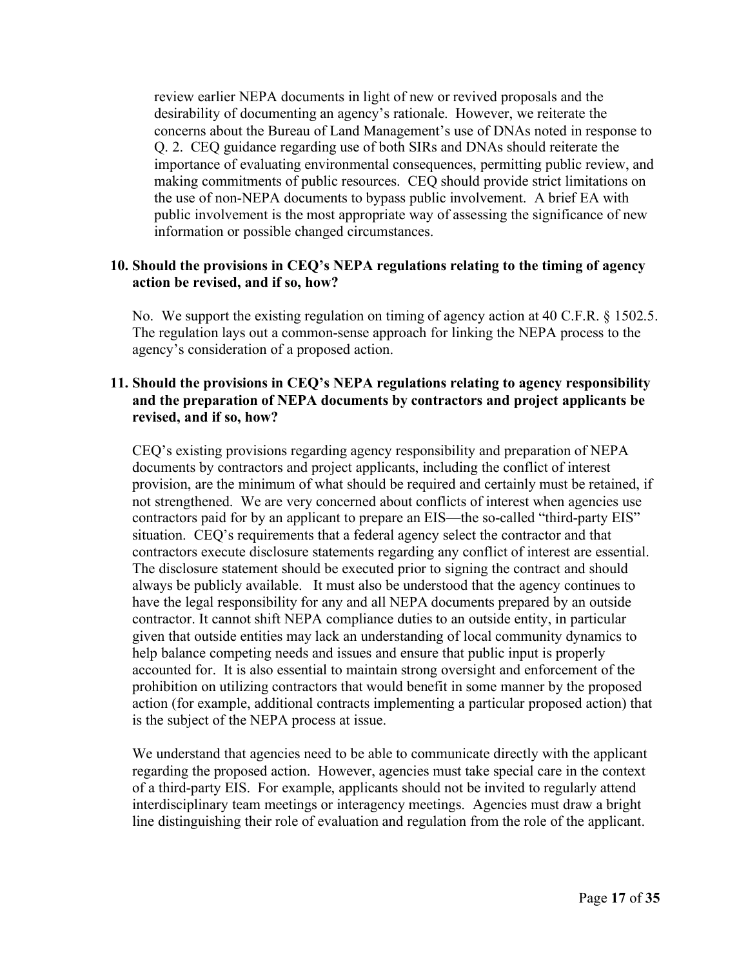review earlier NEPA documents in light of new or revived proposals and the desirability of documenting an agency's rationale. However, we reiterate the concerns about the Bureau of Land Management's use of DNAs noted in response to Q. 2. CEQ guidance regarding use of both SIRs and DNAs should reiterate the importance of evaluating environmental consequences, permitting public review, and making commitments of public resources. CEQ should provide strict limitations on the use of non-NEPA documents to bypass public involvement. A brief EA with public involvement is the most appropriate way of assessing the significance of new information or possible changed circumstances.

# **10. Should the provisions in CEQ's NEPA regulations relating to the timing of agency action be revised, and if so, how?**

No. We support the existing regulation on timing of agency action at 40 C.F.R. § 1502.5. The regulation lays out a common-sense approach for linking the NEPA process to the agency's consideration of a proposed action.

### **11. Should the provisions in CEQ's NEPA regulations relating to agency responsibility and the preparation of NEPA documents by contractors and project applicants be revised, and if so, how?**

CEQ's existing provisions regarding agency responsibility and preparation of NEPA documents by contractors and project applicants, including the conflict of interest provision, are the minimum of what should be required and certainly must be retained, if not strengthened. We are very concerned about conflicts of interest when agencies use contractors paid for by an applicant to prepare an EIS—the so-called "third-party EIS" situation. CEQ's requirements that a federal agency select the contractor and that contractors execute disclosure statements regarding any conflict of interest are essential. The disclosure statement should be executed prior to signing the contract and should always be publicly available. It must also be understood that the agency continues to have the legal responsibility for any and all NEPA documents prepared by an outside contractor. It cannot shift NEPA compliance duties to an outside entity, in particular given that outside entities may lack an understanding of local community dynamics to help balance competing needs and issues and ensure that public input is properly accounted for. It is also essential to maintain strong oversight and enforcement of the prohibition on utilizing contractors that would benefit in some manner by the proposed action (for example, additional contracts implementing a particular proposed action) that is the subject of the NEPA process at issue.

We understand that agencies need to be able to communicate directly with the applicant regarding the proposed action. However, agencies must take special care in the context of a third-party EIS. For example, applicants should not be invited to regularly attend interdisciplinary team meetings or interagency meetings. Agencies must draw a bright line distinguishing their role of evaluation and regulation from the role of the applicant.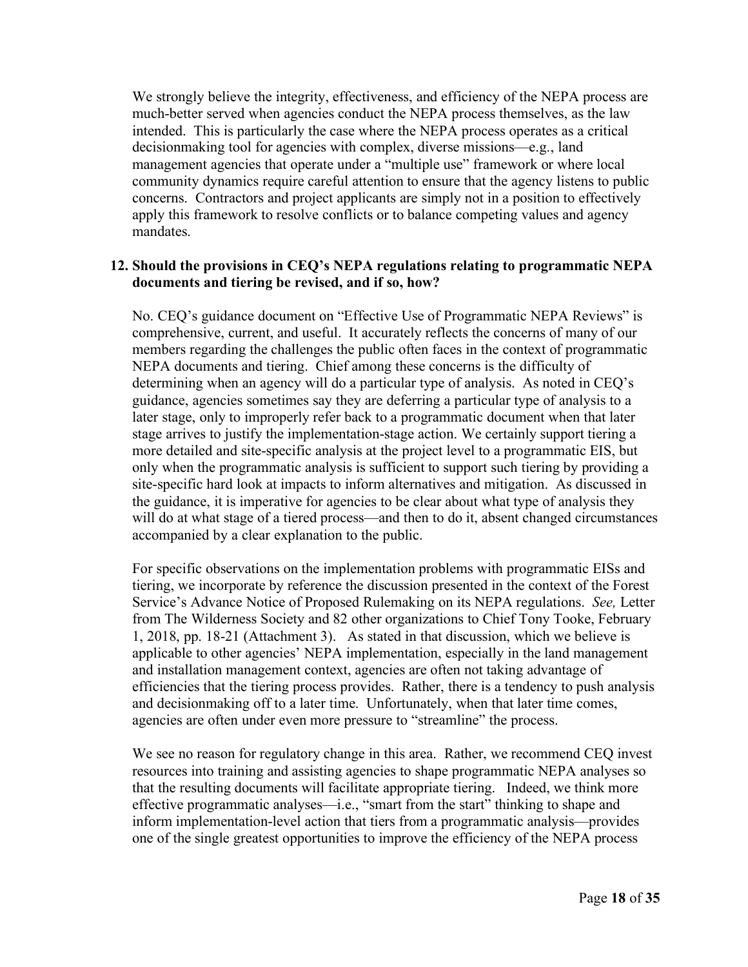We strongly believe the integrity, effectiveness, and efficiency of the NEPA process are much-better served when agencies conduct the NEPA process themselves, as the law intended. This is particularly the case where the NEPA process operates as a critical decisionmaking tool for agencies with complex, diverse missions—e.g., land management agencies that operate under a "multiple use" framework or where local community dynamics require careful attention to ensure that the agency listens to public concerns. Contractors and project applicants are simply not in a position to effectively apply this framework to resolve conflicts or to balance competing values and agency mandates.

### **12. Should the provisions in CEQ's NEPA regulations relating to programmatic NEPA documents and tiering be revised, and if so, how?**

No. CEQ's guidance document on "Effective Use of Programmatic NEPA Reviews" is comprehensive, current, and useful. It accurately reflects the concerns of many of our members regarding the challenges the public often faces in the context of programmatic NEPA documents and tiering. Chief among these concerns is the difficulty of determining when an agency will do a particular type of analysis. As noted in CEQ's guidance, agencies sometimes say they are deferring a particular type of analysis to a later stage, only to improperly refer back to a programmatic document when that later stage arrives to justify the implementation-stage action. We certainly support tiering a more detailed and site-specific analysis at the project level to a programmatic EIS, but only when the programmatic analysis is sufficient to support such tiering by providing a site-specific hard look at impacts to inform alternatives and mitigation. As discussed in the guidance, it is imperative for agencies to be clear about what type of analysis they will do at what stage of a tiered process—and then to do it, absent changed circumstances accompanied by a clear explanation to the public.

For specific observations on the implementation problems with programmatic EISs and tiering, we incorporate by reference the discussion presented in the context of the Forest Service's Advance Notice of Proposed Rulemaking on its NEPA regulations. *See,* Letter from The Wilderness Society and 82 other organizations to Chief Tony Tooke, February 1, 2018, pp. 18-21 (Attachment 3). As stated in that discussion, which we believe is applicable to other agencies' NEPA implementation, especially in the land management and installation management context, agencies are often not taking advantage of efficiencies that the tiering process provides. Rather, there is a tendency to push analysis and decisionmaking off to a later time. Unfortunately, when that later time comes, agencies are often under even more pressure to "streamline" the process.

We see no reason for regulatory change in this area. Rather, we recommend CEO invest resources into training and assisting agencies to shape programmatic NEPA analyses so that the resulting documents will facilitate appropriate tiering. Indeed, we think more effective programmatic analyses—i.e., "smart from the start" thinking to shape and inform implementation-level action that tiers from a programmatic analysis—provides one of the single greatest opportunities to improve the efficiency of the NEPA process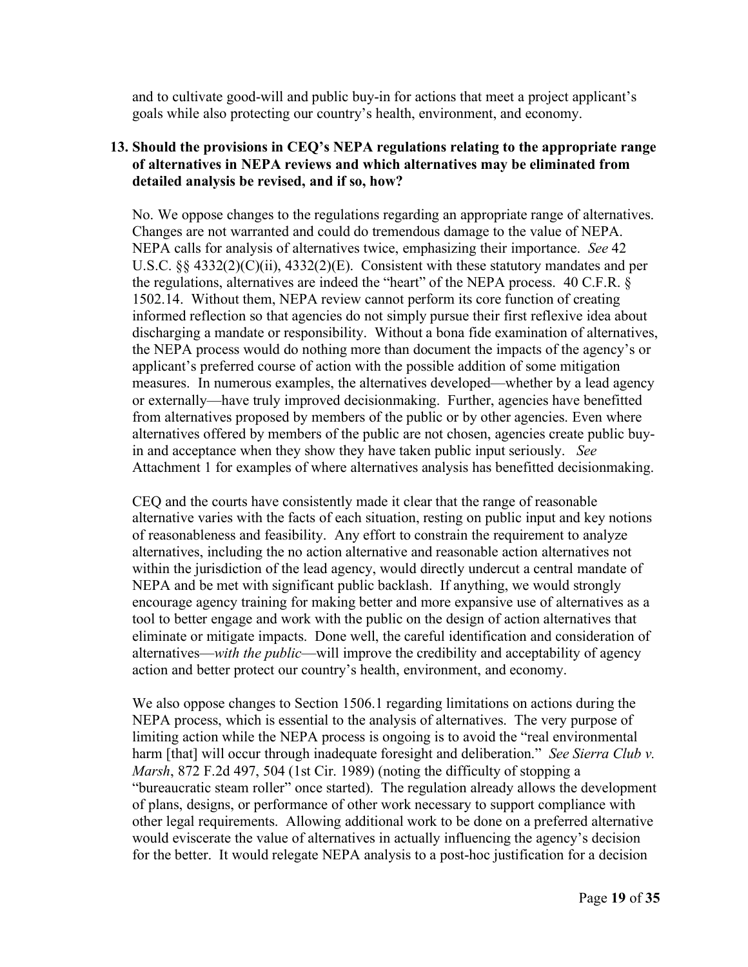and to cultivate good-will and public buy-in for actions that meet a project applicant's goals while also protecting our country's health, environment, and economy.

# **13. Should the provisions in CEQ's NEPA regulations relating to the appropriate range of alternatives in NEPA reviews and which alternatives may be eliminated from detailed analysis be revised, and if so, how?**

No. We oppose changes to the regulations regarding an appropriate range of alternatives. Changes are not warranted and could do tremendous damage to the value of NEPA. NEPA calls for analysis of alternatives twice, emphasizing their importance. *See* 42 U.S.C. §§ 4332(2)(C)(ii), 4332(2)(E). Consistent with these statutory mandates and per the regulations, alternatives are indeed the "heart" of the NEPA process. 40 C.F.R. § 1502.14. Without them, NEPA review cannot perform its core function of creating informed reflection so that agencies do not simply pursue their first reflexive idea about discharging a mandate or responsibility. Without a bona fide examination of alternatives, the NEPA process would do nothing more than document the impacts of the agency's or applicant's preferred course of action with the possible addition of some mitigation measures. In numerous examples, the alternatives developed—whether by a lead agency or externally—have truly improved decisionmaking. Further, agencies have benefitted from alternatives proposed by members of the public or by other agencies. Even where alternatives offered by members of the public are not chosen, agencies create public buyin and acceptance when they show they have taken public input seriously. *See* Attachment 1 for examples of where alternatives analysis has benefitted decisionmaking.

CEQ and the courts have consistently made it clear that the range of reasonable alternative varies with the facts of each situation, resting on public input and key notions of reasonableness and feasibility. Any effort to constrain the requirement to analyze alternatives, including the no action alternative and reasonable action alternatives not within the jurisdiction of the lead agency, would directly undercut a central mandate of NEPA and be met with significant public backlash. If anything, we would strongly encourage agency training for making better and more expansive use of alternatives as a tool to better engage and work with the public on the design of action alternatives that eliminate or mitigate impacts. Done well, the careful identification and consideration of alternatives—*with the public*—will improve the credibility and acceptability of agency action and better protect our country's health, environment, and economy.

We also oppose changes to Section 1506.1 regarding limitations on actions during the NEPA process, which is essential to the analysis of alternatives. The very purpose of limiting action while the NEPA process is ongoing is to avoid the "real environmental harm [that] will occur through inadequate foresight and deliberation." *See Sierra Club v. Marsh*, 872 F.2d 497, 504 (1st Cir. 1989) (noting the difficulty of stopping a "bureaucratic steam roller" once started). The regulation already allows the development of plans, designs, or performance of other work necessary to support compliance with other legal requirements. Allowing additional work to be done on a preferred alternative would eviscerate the value of alternatives in actually influencing the agency's decision for the better. It would relegate NEPA analysis to a post-hoc justification for a decision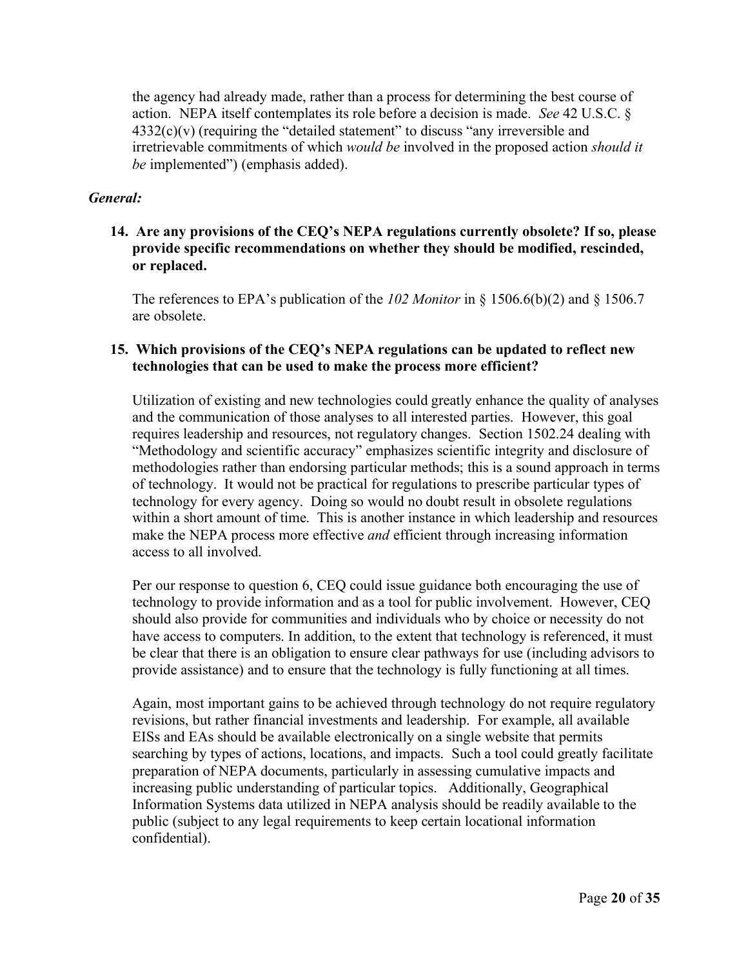the agency had already made, rather than a process for determining the best course of action. NEPA itself contemplates its role before a decision is made. *See* 42 U.S.C. §  $4332(c)(v)$  (requiring the "detailed statement" to discuss "any irreversible and irretrievable commitments of which *would be* involved in the proposed action *should it be* implemented") (emphasis added).

# *General:*

# **14. Are any provisions of the CEQ's NEPA regulations currently obsolete? If so, please provide specific recommendations on whether they should be modified, rescinded, or replaced.**

The references to EPA's publication of the *102 Monitor* in § 1506.6(b)(2) and § 1506.7 are obsolete.

# **15. Which provisions of the CEQ's NEPA regulations can be updated to reflect new technologies that can be used to make the process more efficient?**

Utilization of existing and new technologies could greatly enhance the quality of analyses and the communication of those analyses to all interested parties. However, this goal requires leadership and resources, not regulatory changes. Section 1502.24 dealing with "Methodology and scientific accuracy" emphasizes scientific integrity and disclosure of methodologies rather than endorsing particular methods; this is a sound approach in terms of technology. It would not be practical for regulations to prescribe particular types of technology for every agency. Doing so would no doubt result in obsolete regulations within a short amount of time. This is another instance in which leadership and resources make the NEPA process more effective *and* efficient through increasing information access to all involved.

Per our response to question 6, CEQ could issue guidance both encouraging the use of technology to provide information and as a tool for public involvement. However, CEQ should also provide for communities and individuals who by choice or necessity do not have access to computers. In addition, to the extent that technology is referenced, it must be clear that there is an obligation to ensure clear pathways for use (including advisors to provide assistance) and to ensure that the technology is fully functioning at all times.

Again, most important gains to be achieved through technology do not require regulatory revisions, but rather financial investments and leadership. For example, all available EISs and EAs should be available electronically on a single website that permits searching by types of actions, locations, and impacts. Such a tool could greatly facilitate preparation of NEPA documents, particularly in assessing cumulative impacts and increasing public understanding of particular topics. Additionally, Geographical Information Systems data utilized in NEPA analysis should be readily available to the public (subject to any legal requirements to keep certain locational information confidential).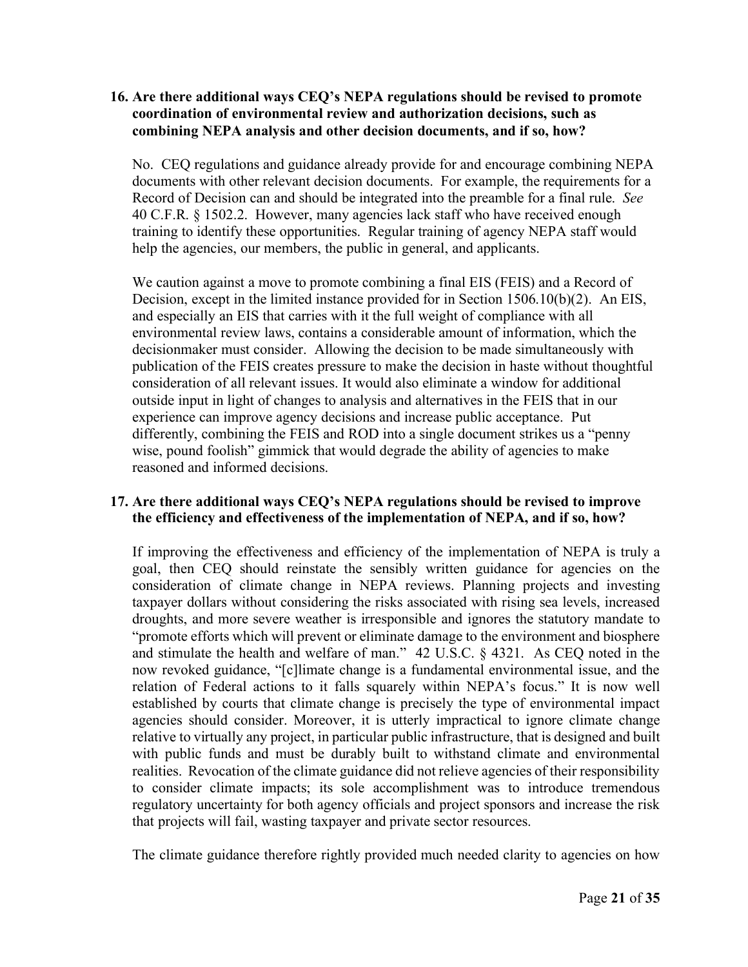# **16. Are there additional ways CEQ's NEPA regulations should be revised to promote coordination of environmental review and authorization decisions, such as combining NEPA analysis and other decision documents, and if so, how?**

No. CEQ regulations and guidance already provide for and encourage combining NEPA documents with other relevant decision documents. For example, the requirements for a Record of Decision can and should be integrated into the preamble for a final rule. *See* 40 C.F.R. § 1502.2. However, many agencies lack staff who have received enough training to identify these opportunities. Regular training of agency NEPA staff would help the agencies, our members, the public in general, and applicants.

We caution against a move to promote combining a final EIS (FEIS) and a Record of Decision, except in the limited instance provided for in Section 1506.10(b)(2). An EIS, and especially an EIS that carries with it the full weight of compliance with all environmental review laws, contains a considerable amount of information, which the decisionmaker must consider. Allowing the decision to be made simultaneously with publication of the FEIS creates pressure to make the decision in haste without thoughtful consideration of all relevant issues. It would also eliminate a window for additional outside input in light of changes to analysis and alternatives in the FEIS that in our experience can improve agency decisions and increase public acceptance. Put differently, combining the FEIS and ROD into a single document strikes us a "penny wise, pound foolish" gimmick that would degrade the ability of agencies to make reasoned and informed decisions.

# **17. Are there additional ways CEQ's NEPA regulations should be revised to improve the efficiency and effectiveness of the implementation of NEPA, and if so, how?**

If improving the effectiveness and efficiency of the implementation of NEPA is truly a goal, then CEQ should reinstate the sensibly written guidance for agencies on the consideration of climate change in NEPA reviews. Planning projects and investing taxpayer dollars without considering the risks associated with rising sea levels, increased droughts, and more severe weather is irresponsible and ignores the statutory mandate to "promote efforts which will prevent or eliminate damage to the environment and biosphere and stimulate the health and welfare of man." 42 U.S.C. § 4321. As CEQ noted in the now revoked guidance, "[c]limate change is a fundamental environmental issue, and the relation of Federal actions to it falls squarely within NEPA's focus." It is now well established by courts that climate change is precisely the type of environmental impact agencies should consider. Moreover, it is utterly impractical to ignore climate change relative to virtually any project, in particular public infrastructure, that is designed and built with public funds and must be durably built to withstand climate and environmental realities. Revocation of the climate guidance did not relieve agencies of their responsibility to consider climate impacts; its sole accomplishment was to introduce tremendous regulatory uncertainty for both agency officials and project sponsors and increase the risk that projects will fail, wasting taxpayer and private sector resources.

The climate guidance therefore rightly provided much needed clarity to agencies on how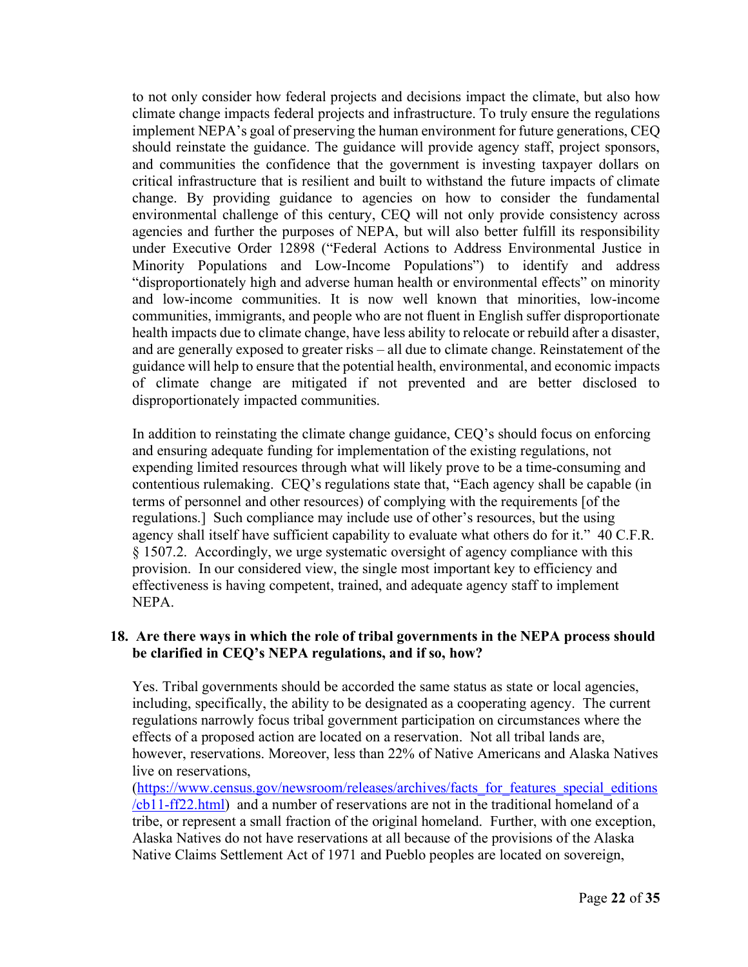to not only consider how federal projects and decisions impact the climate, but also how climate change impacts federal projects and infrastructure. To truly ensure the regulations implement NEPA's goal of preserving the human environment for future generations, CEQ should reinstate the guidance. The guidance will provide agency staff, project sponsors, and communities the confidence that the government is investing taxpayer dollars on critical infrastructure that is resilient and built to withstand the future impacts of climate change. By providing guidance to agencies on how to consider the fundamental environmental challenge of this century, CEQ will not only provide consistency across agencies and further the purposes of NEPA, but will also better fulfill its responsibility under Executive Order 12898 ("Federal Actions to Address Environmental Justice in Minority Populations and Low-Income Populations") to identify and address "disproportionately high and adverse human health or environmental effects" on minority and low-income communities. It is now well known that minorities, low-income communities, immigrants, and people who are not fluent in English suffer disproportionate health impacts due to climate change, have less ability to relocate or rebuild after a disaster, and are generally exposed to greater risks – all due to climate change. Reinstatement of the guidance will help to ensure that the potential health, environmental, and economic impacts of climate change are mitigated if not prevented and are better disclosed to disproportionately impacted communities.

In addition to reinstating the climate change guidance, CEQ's should focus on enforcing and ensuring adequate funding for implementation of the existing regulations, not expending limited resources through what will likely prove to be a time-consuming and contentious rulemaking. CEQ's regulations state that, "Each agency shall be capable (in terms of personnel and other resources) of complying with the requirements [of the regulations.] Such compliance may include use of other's resources, but the using agency shall itself have sufficient capability to evaluate what others do for it." 40 C.F.R. § 1507.2. Accordingly, we urge systematic oversight of agency compliance with this provision. In our considered view, the single most important key to efficiency and effectiveness is having competent, trained, and adequate agency staff to implement NEPA.

### **18. Are there ways in which the role of tribal governments in the NEPA process should be clarified in CEQ's NEPA regulations, and if so, how?**

Yes. Tribal governments should be accorded the same status as state or local agencies, including, specifically, the ability to be designated as a cooperating agency. The current regulations narrowly focus tribal government participation on circumstances where the effects of a proposed action are located on a reservation. Not all tribal lands are, however, reservations. Moreover, less than 22% of Native Americans and Alaska Natives live on reservations,

(https://www.census.gov/newsroom/releases/archives/facts\_for\_features\_special\_editions /cb11-ff22.html) and a number of reservations are not in the traditional homeland of a tribe, or represent a small fraction of the original homeland. Further, with one exception, Alaska Natives do not have reservations at all because of the provisions of the Alaska Native Claims Settlement Act of 1971 and Pueblo peoples are located on sovereign,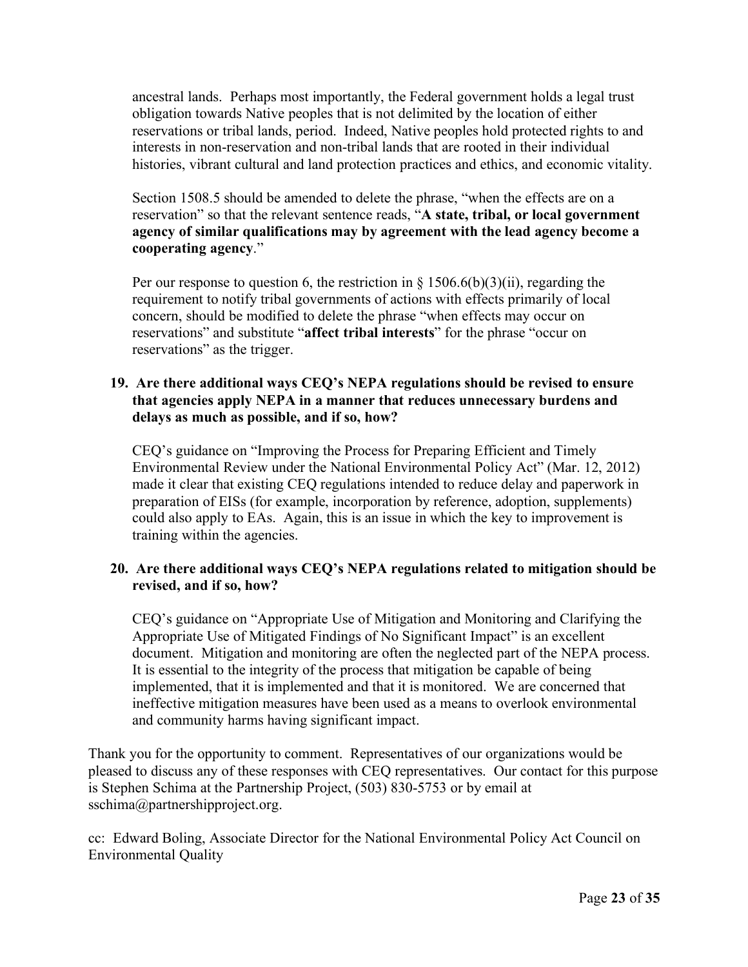ancestral lands. Perhaps most importantly, the Federal government holds a legal trust obligation towards Native peoples that is not delimited by the location of either reservations or tribal lands, period. Indeed, Native peoples hold protected rights to and interests in non-reservation and non-tribal lands that are rooted in their individual histories, vibrant cultural and land protection practices and ethics, and economic vitality.

Section 1508.5 should be amended to delete the phrase, "when the effects are on a reservation" so that the relevant sentence reads, "**A state, tribal, or local government agency of similar qualifications may by agreement with the lead agency become a cooperating agency**."

Per our response to question 6, the restriction in  $\S 1506.6(b)(3)(ii)$ , regarding the requirement to notify tribal governments of actions with effects primarily of local concern, should be modified to delete the phrase "when effects may occur on reservations" and substitute "**affect tribal interests**" for the phrase "occur on reservations" as the trigger.

# **19. Are there additional ways CEQ's NEPA regulations should be revised to ensure that agencies apply NEPA in a manner that reduces unnecessary burdens and delays as much as possible, and if so, how?**

CEQ's guidance on "Improving the Process for Preparing Efficient and Timely Environmental Review under the National Environmental Policy Act" (Mar. 12, 2012) made it clear that existing CEQ regulations intended to reduce delay and paperwork in preparation of EISs (for example, incorporation by reference, adoption, supplements) could also apply to EAs. Again, this is an issue in which the key to improvement is training within the agencies.

# **20. Are there additional ways CEQ's NEPA regulations related to mitigation should be revised, and if so, how?**

CEQ's guidance on "Appropriate Use of Mitigation and Monitoring and Clarifying the Appropriate Use of Mitigated Findings of No Significant Impact" is an excellent document. Mitigation and monitoring are often the neglected part of the NEPA process. It is essential to the integrity of the process that mitigation be capable of being implemented, that it is implemented and that it is monitored. We are concerned that ineffective mitigation measures have been used as a means to overlook environmental and community harms having significant impact.

Thank you for the opportunity to comment. Representatives of our organizations would be pleased to discuss any of these responses with CEQ representatives. Our contact for this purpose is Stephen Schima at the Partnership Project, (503) 830-5753 or by email at sschima@partnershipproject.org.

cc: Edward Boling, Associate Director for the National Environmental Policy Act Council on Environmental Quality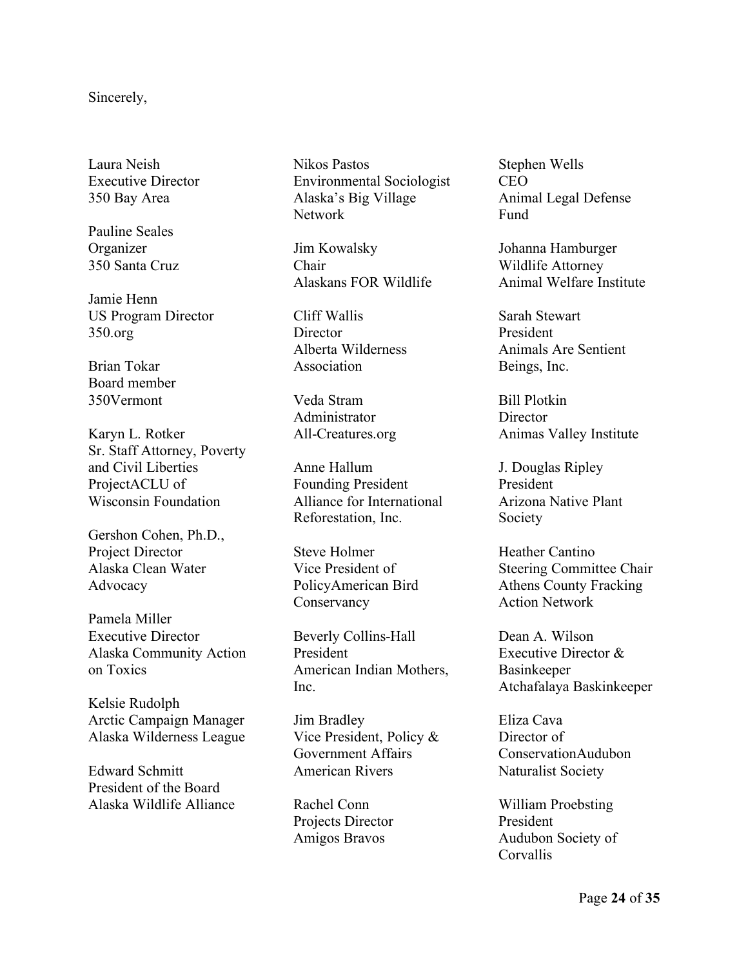#### Sincerely,

Laura Neish Executive Director 350 Bay Area

Pauline Seales Organizer 350 Santa Cruz

Jamie Henn US Program Director 350.org

Brian Tokar Board member 350Vermont

Karyn L. Rotker Sr. Staff Attorney, Poverty and Civil Liberties ProjectACLU of Wisconsin Foundation

Gershon Cohen, Ph.D., Project Director Alaska Clean Water Advocacy

Pamela Miller Executive Director Alaska Community Action on Toxics

Kelsie Rudolph Arctic Campaign Manager Alaska Wilderness League

Edward Schmitt President of the Board Alaska Wildlife Alliance Nikos Pastos Environmental Sociologist Alaska's Big Village Network

Jim Kowalsky Chair Alaskans FOR Wildlife

Cliff Wallis **Director** Alberta Wilderness Association

Veda Stram Administrator All-Creatures.org

Anne Hallum Founding President Alliance for International Reforestation, Inc.

Steve Holmer Vice President of PolicyAmerican Bird Conservancy

Beverly Collins-Hall President American Indian Mothers, Inc.

Jim Bradley Vice President, Policy & Government Affairs American Rivers

Rachel Conn Projects Director Amigos Bravos

Stephen Wells CEO Animal Legal Defense Fund

Johanna Hamburger Wildlife Attorney Animal Welfare Institute

Sarah Stewart President Animals Are Sentient Beings, Inc.

Bill Plotkin **Director** Animas Valley Institute

J. Douglas Ripley President Arizona Native Plant Society

Heather Cantino Steering Committee Chair Athens County Fracking Action Network

Dean A. Wilson Executive Director & Basinkeeper Atchafalaya Baskinkeeper

Eliza Cava Director of ConservationAudubon Naturalist Society

William Proebsting President Audubon Society of Corvallis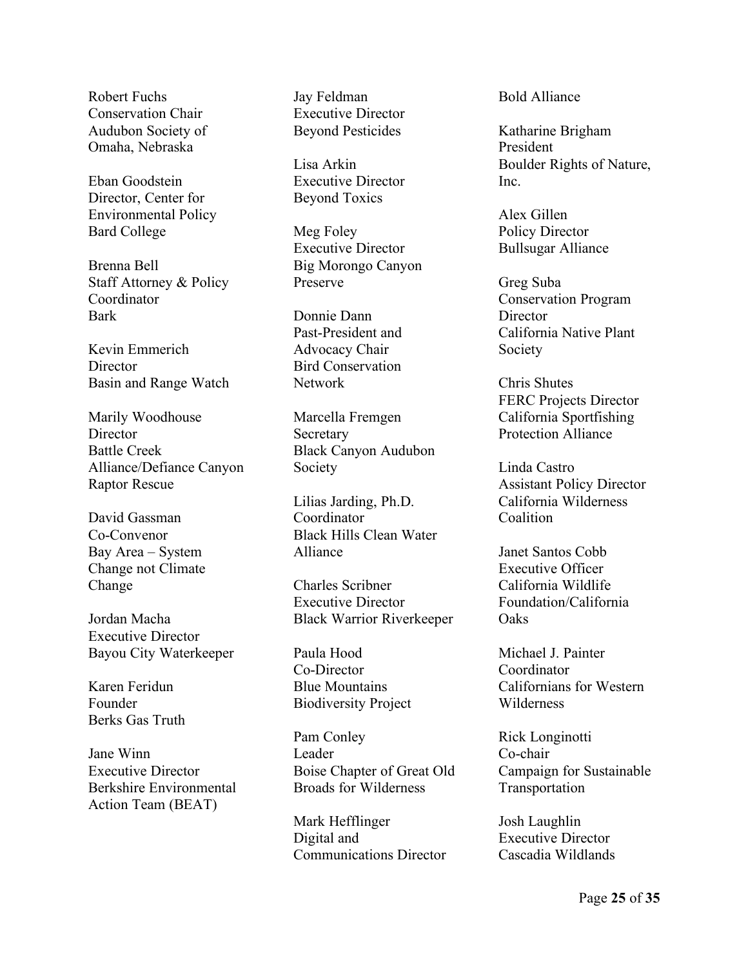Robert Fuchs Conservation Chair Audubon Society of Omaha, Nebraska

Eban Goodstein Director, Center for Environmental Policy Bard College

Brenna Bell Staff Attorney & Policy Coordinator Bark

Kevin Emmerich **Director** Basin and Range Watch

Marily Woodhouse **Director** Battle Creek Alliance/Defiance Canyon Raptor Rescue

David Gassman Co-Convenor Bay Area – System Change not Climate Change

Jordan Macha Executive Director Bayou City Waterkeeper

Karen Feridun Founder Berks Gas Truth

Jane Winn Executive Director Berkshire Environmental Action Team (BEAT)

Jay Feldman Executive Director Beyond Pesticides

Lisa Arkin Executive Director Beyond Toxics

Meg Foley Executive Director Big Morongo Canyon Preserve

Donnie Dann Past-President and Advocacy Chair Bird Conservation Network

Marcella Fremgen **Secretary** Black Canyon Audubon Society

Lilias Jarding, Ph.D. Coordinator Black Hills Clean Water Alliance

Charles Scribner Executive Director Black Warrior Riverkeeper

Paula Hood Co-Director Blue Mountains Biodiversity Project

Pam Conley Leader Boise Chapter of Great Old Broads for Wilderness

Mark Hefflinger Digital and Communications Director Bold Alliance

Katharine Brigham President Boulder Rights of Nature, Inc.

Alex Gillen Policy Director Bullsugar Alliance

Greg Suba Conservation Program **Director** California Native Plant Society

Chris Shutes FERC Projects Director California Sportfishing Protection Alliance

Linda Castro Assistant Policy Director California Wilderness **Coalition** 

Janet Santos Cobb Executive Officer California Wildlife Foundation/California **Oaks** 

Michael J. Painter Coordinator Californians for Western Wilderness

Rick Longinotti Co-chair Campaign for Sustainable Transportation

Josh Laughlin Executive Director Cascadia Wildlands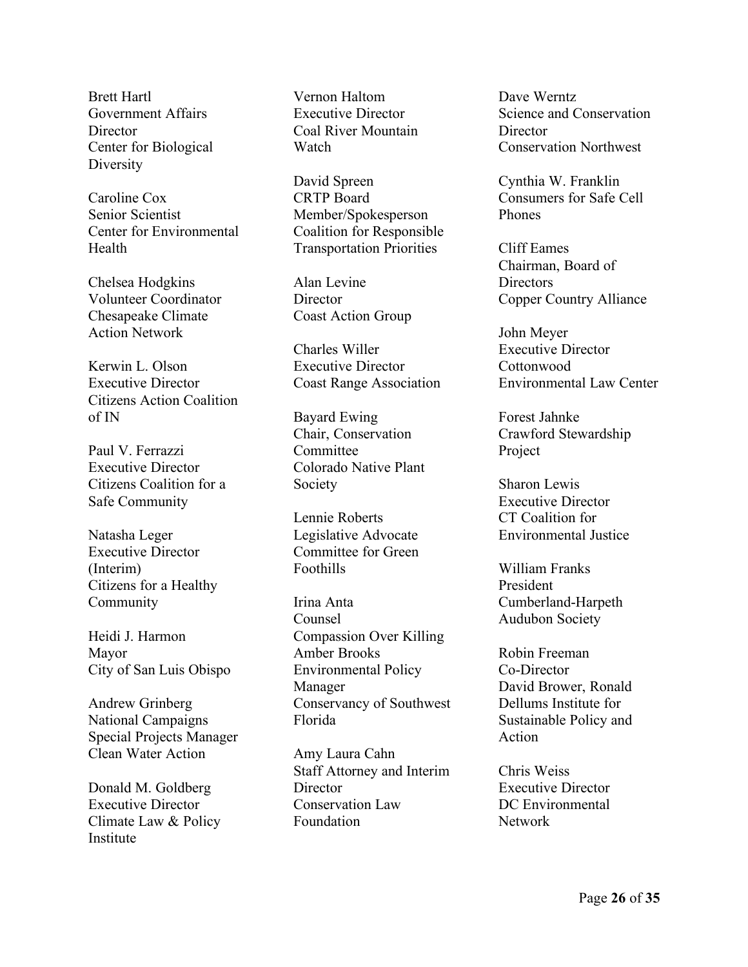Brett Hartl Government Affairs **Director** Center for Biological **Diversity** 

Caroline Cox Senior Scientist Center for Environmental Health

Chelsea Hodgkins Volunteer Coordinator Chesapeake Climate Action Network

Kerwin L. Olson Executive Director Citizens Action Coalition of IN

Paul V. Ferrazzi Executive Director Citizens Coalition for a Safe Community

Natasha Leger Executive Director (Interim) Citizens for a Healthy Community

Heidi J. Harmon Mayor City of San Luis Obispo

Andrew Grinberg National Campaigns Special Projects Manager Clean Water Action

Donald M. Goldberg Executive Director Climate Law & Policy Institute

Vernon Haltom Executive Director Coal River Mountain Watch

David Spreen CRTP Board Member/Spokesperson Coalition for Responsible Transportation Priorities

Alan Levine **Director** Coast Action Group

Charles Willer Executive Director Coast Range Association

Bayard Ewing Chair, Conservation **Committee** Colorado Native Plant Society

Lennie Roberts Legislative Advocate Committee for Green Foothills

Irina Anta Counsel Compassion Over Killing Amber Brooks Environmental Policy Manager Conservancy of Southwest Florida

Amy Laura Cahn Staff Attorney and Interim **Director** Conservation Law Foundation

Dave Werntz Science and Conservation **Director** Conservation Northwest

Cynthia W. Franklin Consumers for Safe Cell Phones

Cliff Eames Chairman, Board of Directors Copper Country Alliance

John Meyer Executive Director **Cottonwood** Environmental Law Center

Forest Jahnke Crawford Stewardship Project

Sharon Lewis Executive Director CT Coalition for Environmental Justice

William Franks President Cumberland-Harpeth Audubon Society

Robin Freeman Co-Director David Brower, Ronald Dellums Institute for Sustainable Policy and Action

Chris Weiss Executive Director DC Environmental Network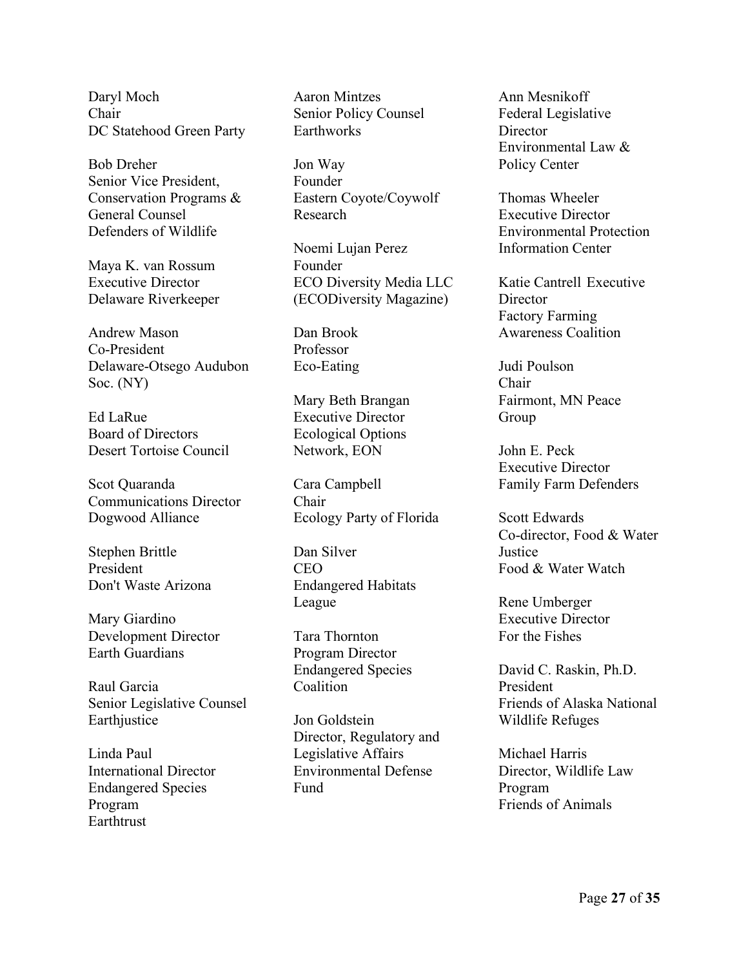Daryl Moch Chair DC Statehood Green Party

Bob Dreher Senior Vice President, Conservation Programs & General Counsel Defenders of Wildlife

Maya K. van Rossum Executive Director Delaware Riverkeeper

Andrew Mason Co-President Delaware-Otsego Audubon Soc. (NY)

Ed LaRue Board of Directors Desert Tortoise Council

Scot Quaranda Communications Director Dogwood Alliance

Stephen Brittle President Don't Waste Arizona

Mary Giardino Development Director Earth Guardians

Raul Garcia Senior Legislative Counsel Earthjustice

Linda Paul International Director Endangered Species Program Earthtrust

Aaron Mintzes Senior Policy Counsel Earthworks

Jon Way Founder Eastern Coyote/Coywolf Research

Noemi Lujan Perez Founder ECO Diversity Media LLC (ECODiversity Magazine)

Dan Brook Professor Eco-Eating

Mary Beth Brangan Executive Director Ecological Options Network, EON

Cara Campbell Chair Ecology Party of Florida

Dan Silver CEO Endangered Habitats League

Tara Thornton Program Director Endangered Species Coalition

Jon Goldstein Director, Regulatory and Legislative Affairs Environmental Defense Fund

Ann Mesnikoff Federal Legislative **Director** Environmental Law & Policy Center

Thomas Wheeler Executive Director Environmental Protection Information Center

Katie Cantrell Executive **Director** Factory Farming Awareness Coalition

Judi Poulson Chair Fairmont, MN Peace Group

John E. Peck Executive Director Family Farm Defenders

Scott Edwards Co-director, Food & Water **Justice** Food & Water Watch

Rene Umberger Executive Director For the Fishes

David C. Raskin, Ph.D. President Friends of Alaska National Wildlife Refuges

Michael Harris Director, Wildlife Law Program Friends of Animals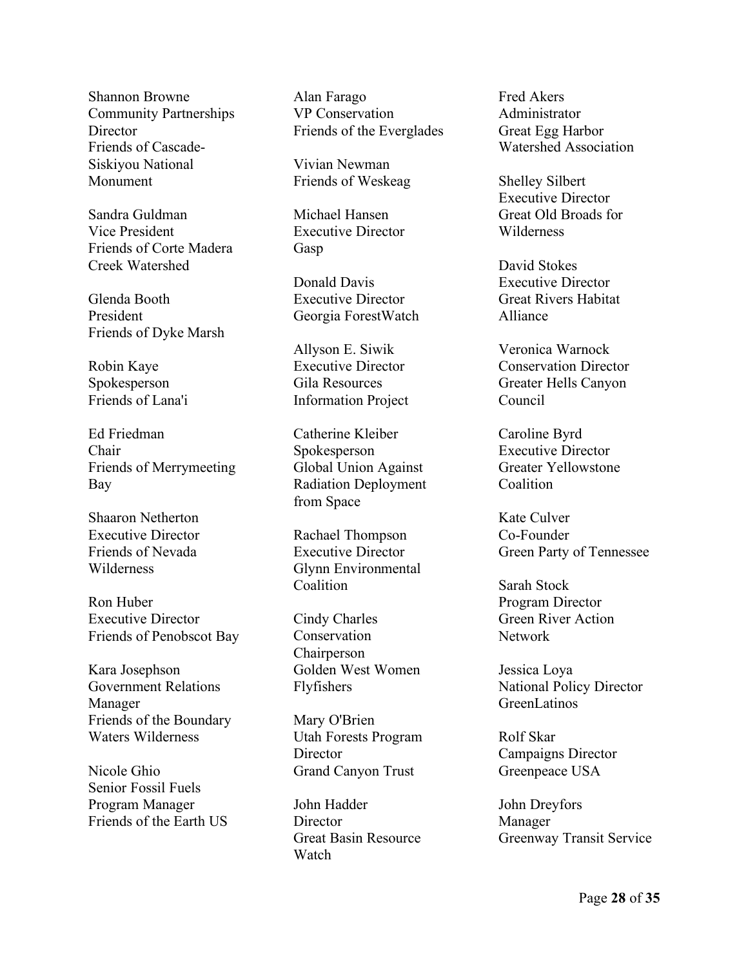Shannon Browne Community Partnerships **Director** Friends of Cascade-Siskiyou National Monument

Sandra Guldman Vice President Friends of Corte Madera Creek Watershed

Glenda Booth President Friends of Dyke Marsh

Robin Kaye Spokesperson Friends of Lana'i

Ed Friedman Chair Friends of Merrymeeting Bay

Shaaron Netherton Executive Director Friends of Nevada Wilderness

Ron Huber Executive Director Friends of Penobscot Bay

Kara Josephson Government Relations Manager Friends of the Boundary Waters Wilderness

Nicole Ghio Senior Fossil Fuels Program Manager Friends of the Earth US

Alan Farago VP Conservation Friends of the Everglades

Vivian Newman Friends of Weskeag

Michael Hansen Executive Director Gasp

Donald Davis Executive Director Georgia ForestWatch

Allyson E. Siwik Executive Director Gila Resources Information Project

Catherine Kleiber Spokesperson Global Union Against Radiation Deployment from Space

Rachael Thompson Executive Director Glynn Environmental Coalition

Cindy Charles Conservation **Chairperson** Golden West Women Flyfishers

Mary O'Brien Utah Forests Program **Director** Grand Canyon Trust

John Hadder **Director** Great Basin Resource **Watch** 

Fred Akers Administrator Great Egg Harbor Watershed Association

Shelley Silbert Executive Director Great Old Broads for Wilderness

David Stokes Executive Director Great Rivers Habitat Alliance

Veronica Warnock Conservation Director Greater Hells Canyon Council

Caroline Byrd Executive Director Greater Yellowstone Coalition

Kate Culver Co-Founder Green Party of Tennessee

Sarah Stock Program Director Green River Action Network

Jessica Loya National Policy Director GreenLatinos

Rolf Skar Campaigns Director Greenpeace USA

John Dreyfors Manager Greenway Transit Service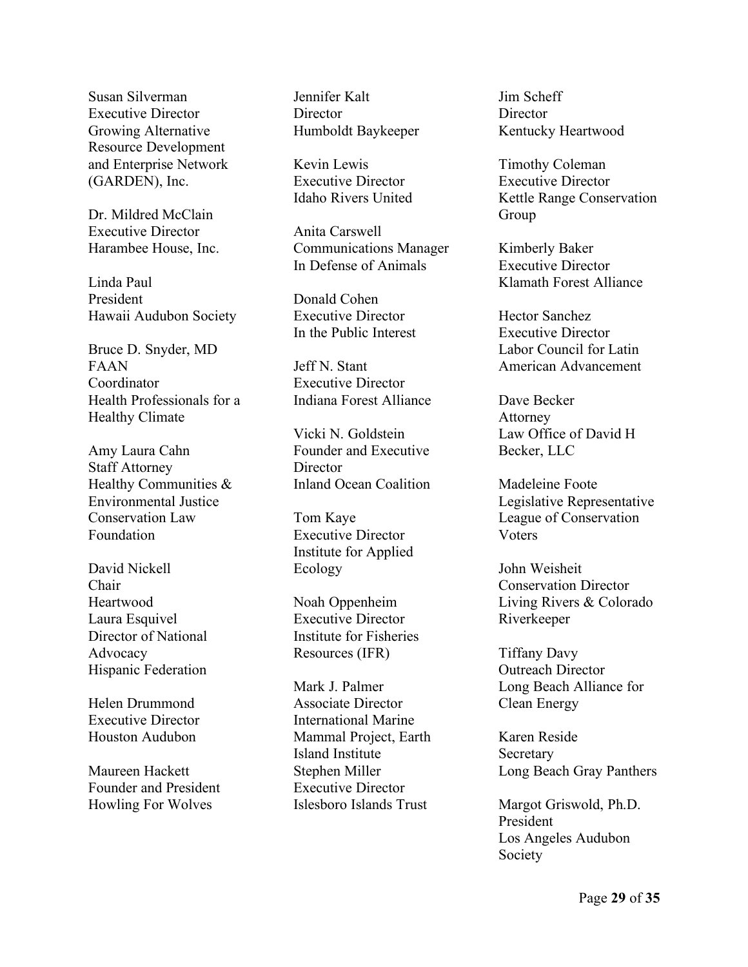Susan Silverman Executive Director Growing Alternative Resource Development and Enterprise Network (GARDEN), Inc.

Dr. Mildred McClain Executive Director Harambee House, Inc.

Linda Paul President Hawaii Audubon Society

Bruce D. Snyder, MD FAAN Coordinator Health Professionals for a Healthy Climate

Amy Laura Cahn Staff Attorney Healthy Communities & Environmental Justice Conservation Law Foundation

David Nickell Chair Heartwood Laura Esquivel Director of National Advocacy Hispanic Federation

Helen Drummond Executive Director Houston Audubon

Maureen Hackett Founder and President Howling For Wolves

Jennifer Kalt **Director** Humboldt Baykeeper

Kevin Lewis Executive Director Idaho Rivers United

Anita Carswell Communications Manager In Defense of Animals

Donald Cohen Executive Director In the Public Interest

Jeff N. Stant Executive Director Indiana Forest Alliance

Vicki N. Goldstein Founder and Executive **Director** Inland Ocean Coalition

Tom Kaye Executive Director Institute for Applied Ecology

Noah Oppenheim Executive Director Institute for Fisheries Resources (IFR)

Mark J. Palmer Associate Director International Marine Mammal Project, Earth Island Institute Stephen Miller Executive Director Islesboro Islands Trust

Jim Scheff **Director** Kentucky Heartwood

Timothy Coleman Executive Director Kettle Range Conservation Group

Kimberly Baker Executive Director Klamath Forest Alliance

Hector Sanchez Executive Director Labor Council for Latin American Advancement

Dave Becker Attorney Law Office of David H Becker, LLC

Madeleine Foote Legislative Representative League of Conservation **V**oters

John Weisheit Conservation Director Living Rivers & Colorado Riverkeeper

Tiffany Davy Outreach Director Long Beach Alliance for Clean Energy

Karen Reside **Secretary** Long Beach Gray Panthers

Margot Griswold, Ph.D. President Los Angeles Audubon Society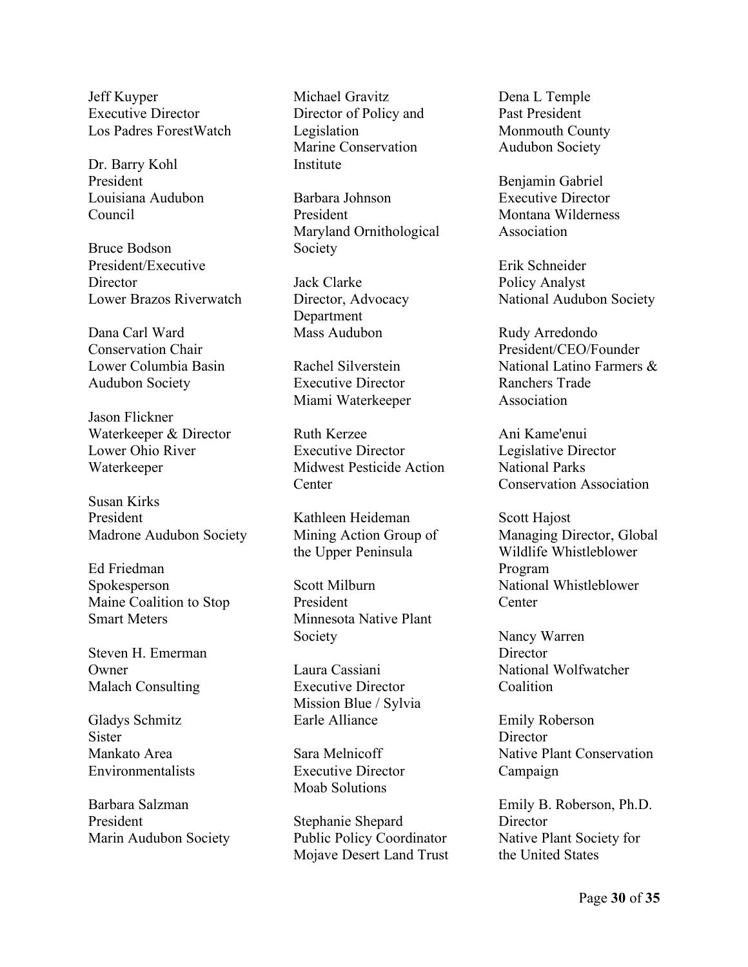Jeff Kuyper Executive Director Los Padres ForestWatch

Dr. Barry Kohl President Louisiana Audubon Council

Bruce Bodson President/Executive **Director** Lower Brazos Riverwatch

Dana Carl Ward Conservation Chair Lower Columbia Basin Audubon Society

Jason Flickner Waterkeeper & Director Lower Ohio River Waterkeeper

Susan Kirks President Madrone Audubon Society

Ed Friedman Spokesperson Maine Coalition to Stop Smart Meters

Steven H. Emerman Owner Malach Consulting

Gladys Schmitz **Sister** Mankato Area Environmentalists

Barbara Salzman President Marin Audubon Society

Michael Gravitz Director of Policy and Legislation Marine Conservation **Institute** 

Barbara Johnson President Maryland Ornithological Society

Jack Clarke Director, Advocacy Department Mass Audubon

Rachel Silverstein Executive Director Miami Waterkeeper

Ruth Kerzee Executive Director Midwest Pesticide Action **Center** 

Kathleen Heideman Mining Action Group of the Upper Peninsula

Scott Milburn President Minnesota Native Plant Society

Laura Cassiani Executive Director Mission Blue / Sylvia Earle Alliance

Sara Melnicoff Executive Director Moab Solutions

Stephanie Shepard Public Policy Coordinator Mojave Desert Land Trust Dena L Temple Past President Monmouth County Audubon Society

Benjamin Gabriel Executive Director Montana Wilderness Association

Erik Schneider Policy Analyst National Audubon Society

Rudy Arredondo President/CEO/Founder National Latino Farmers & Ranchers Trade Association

Ani Kame'enui Legislative Director National Parks Conservation Association

Scott Hajost Managing Director, Global Wildlife Whistleblower Program National Whistleblower **Center** 

Nancy Warren **Director** National Wolfwatcher Coalition

Emily Roberson **Director** Native Plant Conservation Campaign

Emily B. Roberson, Ph.D. **Director** Native Plant Society for the United States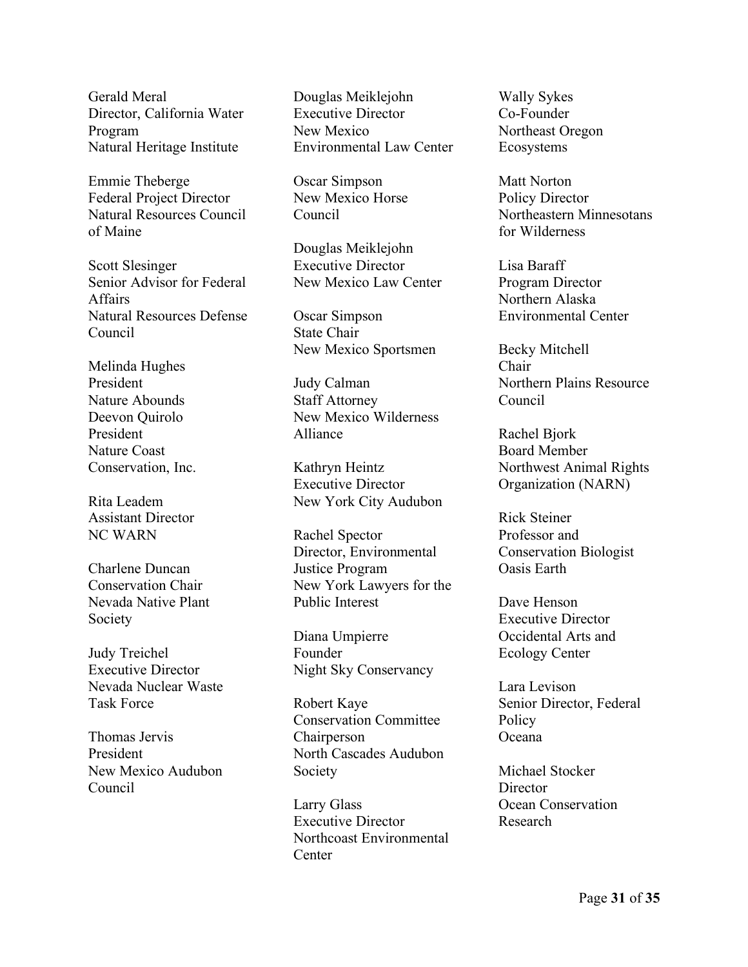Gerald Meral Director, California Water Program Natural Heritage Institute

Emmie Theberge Federal Project Director Natural Resources Council of Maine

Scott Slesinger Senior Advisor for Federal Affairs Natural Resources Defense Council

Melinda Hughes President Nature Abounds Deevon Quirolo President Nature Coast Conservation, Inc.

Rita Leadem Assistant Director NC WARN

Charlene Duncan Conservation Chair Nevada Native Plant Society

Judy Treichel Executive Director Nevada Nuclear Waste Task Force

Thomas Jervis President New Mexico Audubon Council

Douglas Meiklejohn Executive Director New Mexico Environmental Law Center

Oscar Simpson New Mexico Horse Council

Douglas Meiklejohn Executive Director New Mexico Law Center

Oscar Simpson State Chair New Mexico Sportsmen

Judy Calman Staff Attorney New Mexico Wilderness Alliance

Kathryn Heintz Executive Director New York City Audubon

Rachel Spector Director, Environmental Justice Program New York Lawyers for the Public Interest

Diana Umpierre Founder Night Sky Conservancy

Robert Kaye Conservation Committee Chairperson North Cascades Audubon Society

Larry Glass Executive Director Northcoast Environmental **Center** 

Wally Sykes Co-Founder Northeast Oregon Ecosystems

Matt Norton Policy Director Northeastern Minnesotans for Wilderness

Lisa Baraff Program Director Northern Alaska Environmental Center

Becky Mitchell Chair Northern Plains Resource Council

Rachel Bjork Board Member Northwest Animal Rights Organization (NARN)

Rick Steiner Professor and Conservation Biologist Oasis Earth

Dave Henson Executive Director Occidental Arts and Ecology Center

Lara Levison Senior Director, Federal **Policy** Oceana

Michael Stocker **Director** Ocean Conservation Research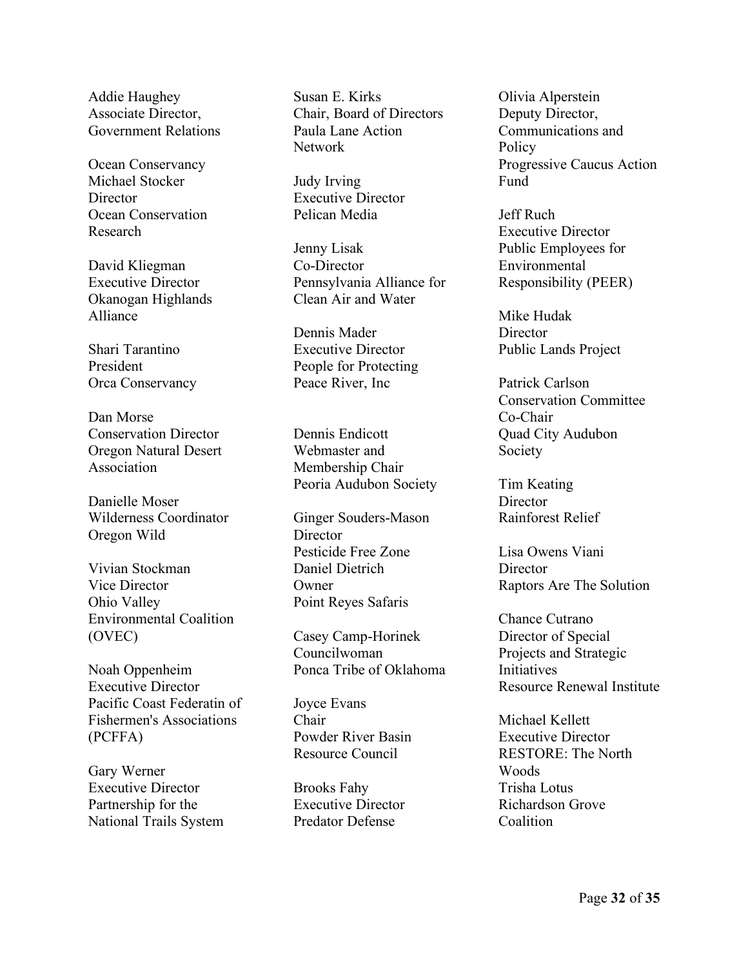Addie Haughey Associate Director, Government Relations

Ocean Conservancy Michael Stocker **Director** Ocean Conservation Research

David Kliegman Executive Director Okanogan Highlands Alliance

Shari Tarantino President Orca Conservancy

Dan Morse Conservation Director Oregon Natural Desert Association

Danielle Moser Wilderness Coordinator Oregon Wild

Vivian Stockman Vice Director Ohio Valley Environmental Coalition (OVEC)

Noah Oppenheim Executive Director Pacific Coast Federatin of Fishermen's Associations (PCFFA)

Gary Werner Executive Director Partnership for the National Trails System

Susan E. Kirks Chair, Board of Directors Paula Lane Action Network

Judy Irving Executive Director Pelican Media

Jenny Lisak Co-Director Pennsylvania Alliance for Clean Air and Water

Dennis Mader Executive Director People for Protecting Peace River, Inc

Dennis Endicott Webmaster and Membership Chair Peoria Audubon Society

Ginger Souders-Mason **Director** Pesticide Free Zone Daniel Dietrich **Owner** Point Reyes Safaris

Casey Camp-Horinek Councilwoman Ponca Tribe of Oklahoma

Joyce Evans Chair Powder River Basin Resource Council

Brooks Fahy Executive Director Predator Defense

Olivia Alperstein Deputy Director, Communications and **Policy** Progressive Caucus Action Fund

Jeff Ruch Executive Director Public Employees for Environmental Responsibility (PEER)

Mike Hudak **Director** Public Lands Project

Patrick Carlson Conservation Committee Co-Chair Quad City Audubon Society

Tim Keating Director Rainforest Relief

Lisa Owens Viani **Director** Raptors Are The Solution

Chance Cutrano Director of Special Projects and Strategic **Initiatives** Resource Renewal Institute

Michael Kellett Executive Director RESTORE: The North Woods Trisha Lotus Richardson Grove **Coalition**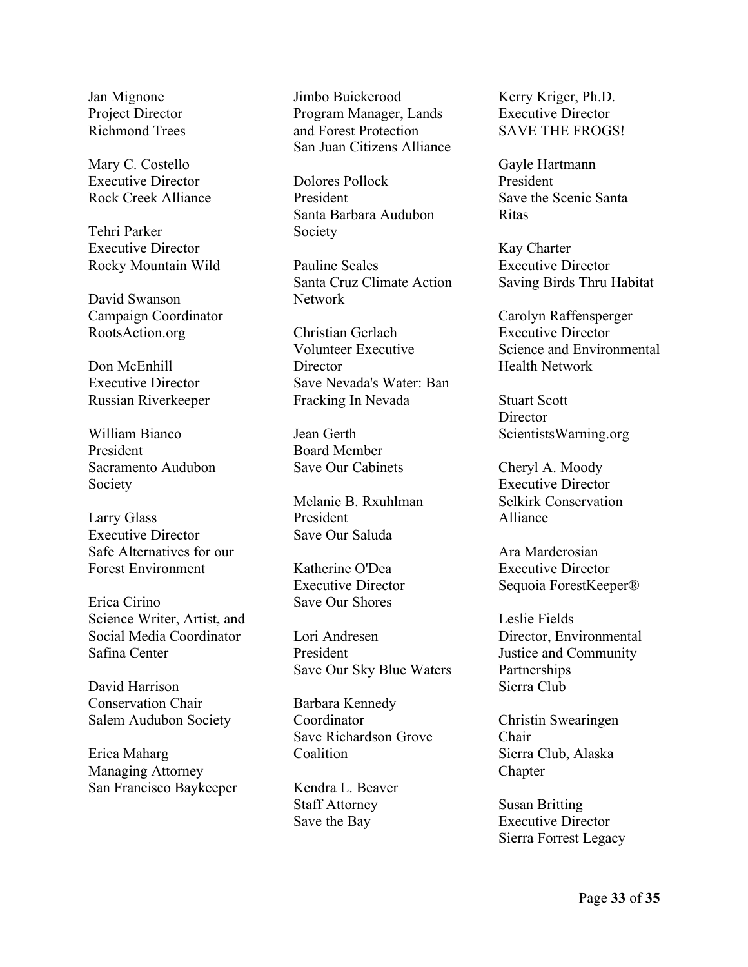Jan Mignone Project Director Richmond Trees

Mary C. Costello Executive Director Rock Creek Alliance

Tehri Parker Executive Director Rocky Mountain Wild

David Swanson Campaign Coordinator RootsAction.org

Don McEnhill Executive Director Russian Riverkeeper

William Bianco President Sacramento Audubon Society

Larry Glass Executive Director Safe Alternatives for our Forest Environment

Erica Cirino Science Writer, Artist, and Social Media Coordinator Safina Center

David Harrison Conservation Chair Salem Audubon Society

Erica Maharg Managing Attorney San Francisco Baykeeper

Jimbo Buickerood Program Manager, Lands and Forest Protection San Juan Citizens Alliance

Dolores Pollock President Santa Barbara Audubon Society

Pauline Seales Santa Cruz Climate Action Network

Christian Gerlach Volunteer Executive **Director** Save Nevada's Water: Ban Fracking In Nevada

Jean Gerth Board Member Save Our Cabinets

Melanie B. Rxuhlman President Save Our Saluda

Katherine O'Dea Executive Director Save Our Shores

Lori Andresen President Save Our Sky Blue Waters

Barbara Kennedy Coordinator Save Richardson Grove **Coalition** 

Kendra L. Beaver Staff Attorney Save the Bay

Kerry Kriger, Ph.D. Executive Director SAVE THE FROGS!

Gayle Hartmann President Save the Scenic Santa Ritas

Kay Charter Executive Director Saving Birds Thru Habitat

Carolyn Raffensperger Executive Director Science and Environmental Health Network

Stuart Scott **Director** ScientistsWarning.org

Cheryl A. Moody Executive Director Selkirk Conservation Alliance

Ara Marderosian Executive Director Sequoia ForestKeeper®

Leslie Fields Director, Environmental Justice and Community Partnerships Sierra Club

Christin Swearingen Chair Sierra Club, Alaska Chapter

Susan Britting Executive Director Sierra Forrest Legacy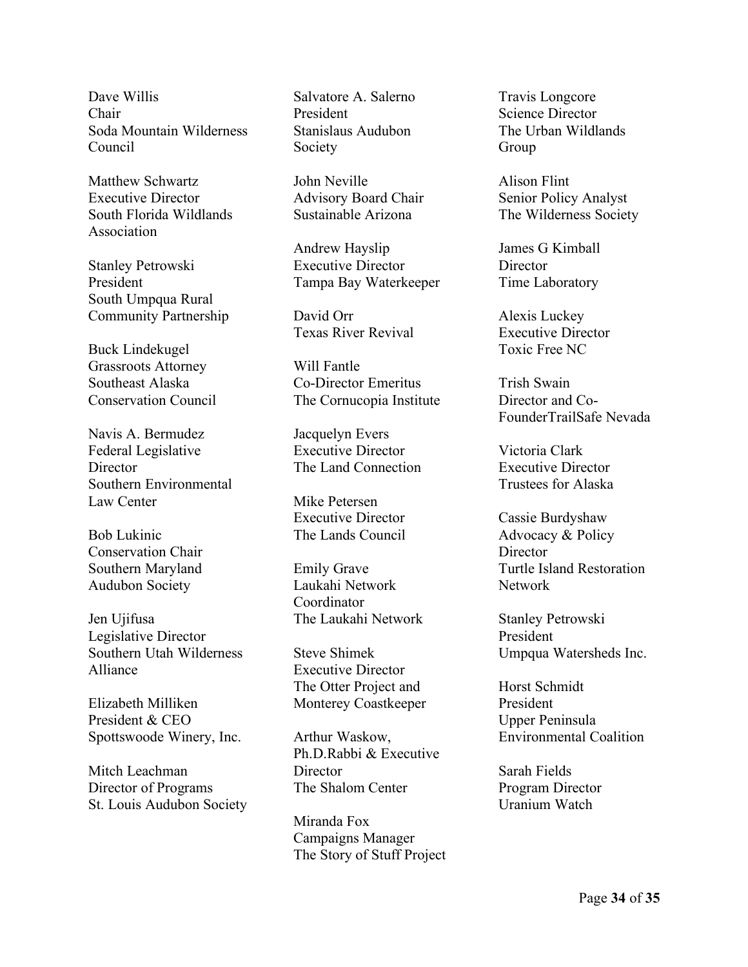Dave Willis Chair Soda Mountain Wilderness Council

Matthew Schwartz Executive Director South Florida Wildlands Association

Stanley Petrowski President South Umpqua Rural Community Partnership

Buck Lindekugel Grassroots Attorney Southeast Alaska Conservation Council

Navis A. Bermudez Federal Legislative **Director** Southern Environmental Law Center

Bob Lukinic Conservation Chair Southern Maryland Audubon Society

Jen Ujifusa Legislative Director Southern Utah Wilderness Alliance

Elizabeth Milliken President & CEO Spottswoode Winery, Inc.

Mitch Leachman Director of Programs St. Louis Audubon Society

Salvatore A. Salerno President Stanislaus Audubon Society

John Neville Advisory Board Chair Sustainable Arizona

Andrew Hayslip Executive Director Tampa Bay Waterkeeper

David Orr Texas River Revival

Will Fantle Co-Director Emeritus The Cornucopia Institute

Jacquelyn Evers Executive Director The Land Connection

Mike Petersen Executive Director The Lands Council

Emily Grave Laukahi Network Coordinator The Laukahi Network

Steve Shimek Executive Director The Otter Project and Monterey Coastkeeper

Arthur Waskow, Ph.D.Rabbi & Executive **Director** The Shalom Center

Miranda Fox Campaigns Manager The Story of Stuff Project Travis Longcore Science Director The Urban Wildlands Group

Alison Flint Senior Policy Analyst The Wilderness Society

James G Kimball **Director** Time Laboratory

Alexis Luckey Executive Director Toxic Free NC

Trish Swain Director and Co-FounderTrailSafe Nevada

Victoria Clark Executive Director Trustees for Alaska

Cassie Burdyshaw Advocacy & Policy **Director** Turtle Island Restoration Network

Stanley Petrowski President Umpqua Watersheds Inc.

Horst Schmidt President Upper Peninsula Environmental Coalition

Sarah Fields Program Director Uranium Watch